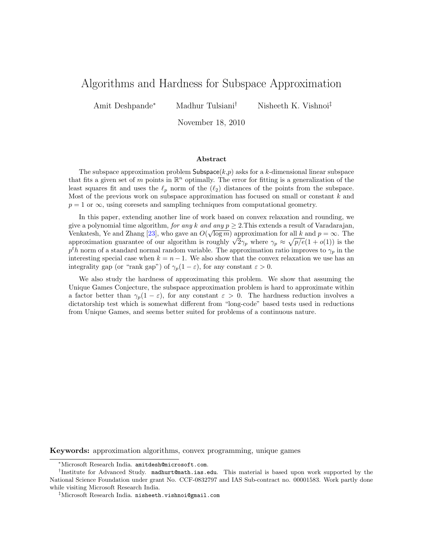# <span id="page-0-0"></span>Algorithms and Hardness for Subspace Approximation

Amit Deshpande<sup>∗</sup> Madhur Tulsiani<sup>†</sup> Nisheeth K. Vishnoi<sup>‡</sup>

November 18, 2010

#### Abstract

The subspace approximation problem Subspace $(k,p)$  asks for a k-dimensional linear subspace that fits a given set of m points in  $\mathbb{R}^n$  optimally. The error for fitting is a generalization of the least squares fit and uses the  $\ell_p$  norm of the  $(\ell_2)$  distances of the points from the subspace. Most of the previous work on subspace approximation has focused on small or constant  $k$  and  $p = 1$  or  $\infty$ , using coresets and sampling techniques from computational geometry.

In this paper, extending another line of work based on convex relaxation and rounding, we give a polynomial time algorithm, for any k and any  $p \ge 2$ . This extends a result of Varadarajan, Venkatesh, Ye and Zhang [\[23\]](#page-18-0), who gave an  $O(\sqrt{\log m})$  approximation for all k and  $p = \infty$ . The venkatesn, is and znang [23], who gave an  $O(\sqrt{\log m})$  approximation for all  $k$  and  $p = \infty$ . The approximation guarantee of our algorithm is roughly  $\sqrt{2\gamma_p}$  where  $\gamma_p \approx \sqrt{p/e}(1 + o(1))$  is the  $p<sup>t</sup>h$  norm of a standard normal random variable. The approximation ratio improves to  $\gamma_p$  in the interesting special case when  $k = n - 1$ . We also show that the convex relaxation we use has an integrality gap (or "rank gap") of  $\gamma_p(1-\varepsilon)$ , for any constant  $\varepsilon > 0$ .

We also study the hardness of approximating this problem. We show that assuming the Unique Games Conjecture, the subspace approximation problem is hard to approximate within a factor better than  $\gamma_p(1-\varepsilon)$ , for any constant  $\varepsilon > 0$ . The hardness reduction involves a dictatorship test which is somewhat different from "long-code" based tests used in reductions from Unique Games, and seems better suited for problems of a continuous nature.

Keywords: approximation algorithms, convex programming, unique games

<sup>∗</sup>Microsoft Research India. amitdesh@microsoft.com.

<sup>†</sup> Institute for Advanced Study. madhurt@math.ias.edu. This material is based upon work supported by the National Science Foundation under grant No. CCF-0832797 and IAS Sub-contract no. 00001583. Work partly done while visiting Microsoft Research India.

<sup>‡</sup>Microsoft Research India. nisheeth.vishnoi@gmail.com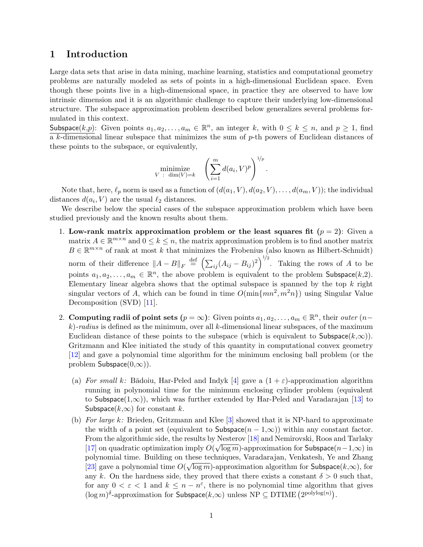## 1 Introduction

Large data sets that arise in data mining, machine learning, statistics and computational geometry problems are naturally modeled as sets of points in a high-dimensional Euclidean space. Even though these points live in a high-dimensional space, in practice they are observed to have low intrinsic dimension and it is an algorithmic challenge to capture their underlying low-dimensional structure. The subspace approximation problem described below generalizes several problems formulated in this context.

Subspace $(k,p)$ : Given points  $a_1, a_2, \ldots, a_m \in \mathbb{R}^n$ , an integer k, with  $0 \le k \le n$ , and  $p \ge 1$ , find  $\overline{a}$  k-dimensional linear subspace that minimizes the sum of p-th powers of Euclidean distances of these points to the subspace, or equivalently,

$$
\underset{V \ : \ \dim(V)=k}{\text{minimize}} \quad \left(\sum_{i=1}^m d(a_i,V)^p\right)^{1/p}.
$$

Note that, here,  $\ell_p$  norm is used as a function of  $(d(a_1, V), d(a_2, V), \ldots, d(a_m, V))$ ; the individual distances  $d(a_i, V)$  are the usual  $\ell_2$  distances.

We describe below the special cases of the subspace approximation problem which have been studied previously and the known results about them.

- 1. Low-rank matrix approximation problem or the least squares fit  $(p = 2)$ : Given a matrix  $A \in \mathbb{R}^{m \times n}$  and  $0 \leq k \leq n$ , the matrix approximation problem is to find another matrix  $B \in \mathbb{R}^{m \times n}$  of rank at most k that minimizes the Frobenius (also known as Hilbert-Schmidt) norm of their difference  $||A - B||_F \stackrel{\text{def}}{=} \left(\sum_{ij} (A_{ij} - B_{ij})^2\right)^{1/2}$ . Taking the rows of A to be points  $a_1, a_2, \ldots, a_m \in \mathbb{R}^n$ , the above problem is equivalent to the problem Subspace $(k, 2)$ . Elementary linear algebra shows that the optimal subspace is spanned by the top  $k$  right singular vectors of A, which can be found in time  $O(\min\{mn^2, m^2n\})$  using Singular Value Decomposition (SVD) [\[11\]](#page-17-0).
- 2. Computing radii of point sets  $(p = \infty)$ : Given points  $a_1, a_2, \ldots, a_m \in \mathbb{R}^n$ , their *outer*  $(n \infty)$  $k$ )-radius is defined as the minimum, over all k-dimensional linear subspaces, of the maximum Euclidean distance of these points to the subspace (which is equivalent to  $\textsf{Subspace}(k,\infty)$ ). Gritzmann and Klee initiated the study of this quantity in computational convex geometry [\[12\]](#page-17-1) and gave a polynomial time algorithm for the minimum enclosing ball problem (or the problem Subspace $(0,\infty)$ ).
	- (a) For small k: Bădoiu, Har-Peled and Indyk [\[4\]](#page-17-2) gave a  $(1 + \varepsilon)$ -approximation algorithm running in polynomial time for the minimum enclosing cylinder problem (equivalent to Subspace(1, $\infty$ ), which was further extended by Har-Peled and Varadarajan [\[13\]](#page-18-1) to Subspace( $k,\infty$ ) for constant k.
	- (b) For large k: Brieden, Gritzmann and Klee  $[3]$  showed that it is NP-hard to approximate the width of a point set (equivalent to Subspace $(n-1,\infty)$ ) within any constant factor. From the algorithmic side, the results by Nesterov [\[18\]](#page-18-2) and Nemirovski, Roos and Tarlaky √ [\[17\]](#page-18-3) on quadratic optimization imply  $O(\sqrt{\log m})$ -approximation for Subspace $(n-1,\infty)$  in polynomial time. Building on these techniques, Varadarajan, Venkatesh, Ye and Zhang [\[23\]](#page-18-0) gave a polynomial time  $O(\sqrt{\log m})$ -approximation algorithm for Subspace( $k,\infty$ ), for any k. On the hardness side, they proved that there exists a constant  $\delta > 0$  such that, for any  $0 < \varepsilon < 1$  and  $k \leq n - n^{\varepsilon}$ , there is no polynomial time algorithm that gives  $(\log m)^{\delta}$ -approximation for Subspace $(k,\infty)$  unless NP  $\subseteq$  DTIME  $(2^{\text{polylog}(n)})$ .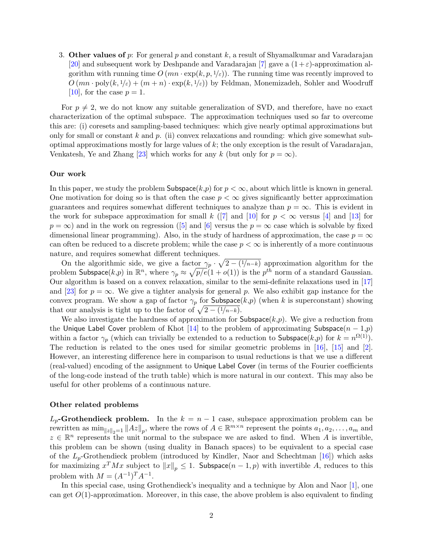<span id="page-2-0"></span>3. Other values of p: For general p and constant k, a result of Shyamalkumar and Varadarajan [\[20\]](#page-18-4) and subsequent work by Deshpande and Varadarajan [\[7\]](#page-17-4) gave a  $(1+\varepsilon)$ -approximation algorithm with running time  $O(mn \cdot \exp(k, p, 1/\varepsilon))$ . The running time was recently improved to  $O(mn \cdot \text{poly}(k, 1/\varepsilon) + (m+n) \cdot \exp(k, 1/\varepsilon))$  by Feldman, Monemizadeh, Sohler and Woodruff [\[10\]](#page-17-5), for the case  $p=1$ .

For  $p \neq 2$ , we do not know any suitable generalization of SVD, and therefore, have no exact characterization of the optimal subspace. The approximation techniques used so far to overcome this are: (i) coresets and sampling-based techniques: which give nearly optimal approximations but only for small or constant k and p. (ii) convex relaxations and rounding: which give somewhat suboptimal approximations mostly for large values of k; the only exception is the result of Varadarajan, Venkatesh, Ye and Zhang [\[23\]](#page-18-0) which works for any k (but only for  $p = \infty$ ).

#### Our work

In this paper, we study the problem Subspace $(k, p)$  for  $p < \infty$ , about which little is known in general. One motivation for doing so is that often the case  $p < \infty$  gives significantly better approximation guarantees and requires somewhat different techniques to analyze than  $p = \infty$ . This is evident in the work for subspace approximation for small k ([\[7\]](#page-17-4) and [\[10\]](#page-17-5) for  $p < \infty$  versus [\[4\]](#page-17-2) and [\[13\]](#page-18-1) for  $p = \infty$  $p = \infty$  $p = \infty$ ) and in the work on regression ([\[5\]](#page-17-6) and [\[6\]](#page-17-7) versus the  $p = \infty$  case which is solvable by fixed dimensional linear programming). Also, in the study of hardness of approximation, the case  $p = \infty$ can often be reduced to a discrete problem; while the case  $p < \infty$  is inherently of a more continuous nature, and requires somewhat different techniques.

On the algorithmic side, we give a factor  $\gamma_p \cdot \sqrt{2 - (1/n-k)}$  approximation algorithm for the problem Subspace $(k, p)$  in  $\mathbb{R}^n$ , where  $\gamma_p \approx \sqrt{p/e}(1+o(1))$  is the  $p^{th}$  norm of a standard Gaussian. Our algorithm is based on a convex relaxation, similar to the semi-definite relaxations used in [\[17\]](#page-18-3) and [\[23\]](#page-18-0) for  $p = \infty$ . We give a tighter analysis for general p. We also exhibit gap instance for the convex program. We show a gap of factor  $\gamma_p$  for Subspace(k,p) (when k is superconstant) showing that our analysis is tight up to the factor of  $\sqrt{2 - (1/n-k)}$ .

We also investigate the hardness of approximation for  $\mathsf{Subspace}(k,p)$ . We give a reduction from the Unique Label Cover problem of Khot [\[14\]](#page-18-5) to the problem of approximating Subspace( $n-1,p$ ) within a factor  $\gamma_p$  (which can trivially be extended to a reduction to Subspace(k,p) for  $k = n^{\Omega(1)}$ ). The reduction is related to the ones used for similar geometric problems in [\[16\]](#page-18-6), [\[15\]](#page-18-7) and [\[2\]](#page-17-8). However, an interesting difference here in comparison to usual reductions is that we use a different (real-valued) encoding of the assignment to Unique Label Cover (in terms of the Fourier coefficients of the long-code instead of the truth table) which is more natural in our context. This may also be useful for other problems of a continuous nature.

#### Other related problems

 $L_p$ -Grothendieck problem. In the  $k = n - 1$  case, subspace approximation problem can be rewritten as  $\min_{\|z\|_2=1} \|Az\|_p$ , where the rows of  $A \in \mathbb{R}^{m \times n}$  represent the points  $a_1, a_2, \ldots, a_m$  and  $z \in \mathbb{R}^n$  represents the unit normal to the subspace we are asked to find. When A is invertible, this problem can be shown (using duality in Banach spaces) to be equivalent to a special case of the  $L_p$ -Grothendieck problem (introduced by Kindler, Naor and Schechtman [\[16\]](#page-18-6)) which asks for maximizing  $x^TMx$  subject to  $\|x\|_p \leq 1$ . Subspace $(n-1, p)$  with invertible  $A$ , reduces to this problem with  $M = (A^{-1})^T A^{-1}$ .

In this special case, using Grothendieck's inequality and a technique by Alon and Naor [\[1\]](#page-17-9), one can get  $O(1)$ -approximation. Moreover, in this case, the above problem is also equivalent to finding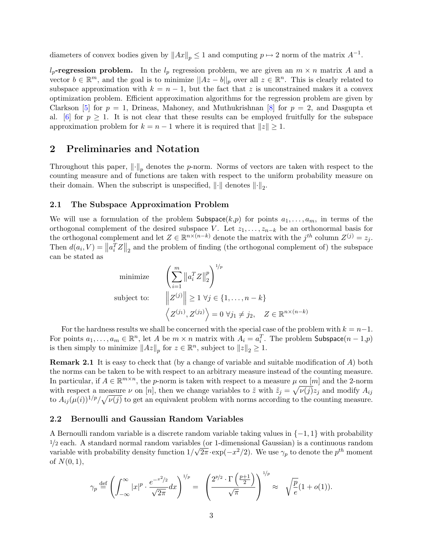<span id="page-3-0"></span>diameters of convex bodies given by  $||Ax||_p \leq 1$  and computing  $p \mapsto 2$  norm of the matrix  $A^{-1}$ .

 $l_p$ -regression problem. In the  $l_p$  regression problem, we are given an  $m \times n$  matrix A and a vector  $b \in \mathbb{R}^m$ , and the goal is to minimize  $||Az - b||_p$  over all  $z \in \mathbb{R}^n$ . This is clearly related to subspace approximation with  $k = n - 1$ , but the fact that z is unconstrained makes it a convex optimization problem. Efficient approximation algorithms for the regression problem are given by Clarkson [\[5\]](#page-17-6) for  $p = 1$ , Drineas, Mahoney, and Muthukrishnan [\[8\]](#page-17-10) for  $p = 2$ , and Dasgupta et al. [\[6\]](#page-17-7) for  $p \geq 1$ . It is not clear that these results can be employed fruitfully for the subspace approximation problem for  $k = n - 1$  where it is required that  $||z|| \geq 1$ .

## 2 Preliminaries and Notation

Throughout this paper,  $\left\| \cdot \right\|_p$  denotes the p-norm. Norms of vectors are taken with respect to the counting measure and of functions are taken with respect to the uniform probability measure on their domain. When the subscript is unspecified,  $\lVert \cdot \rVert$  denotes  $\lVert \cdot \rVert_2$ .

### 2.1 The Subspace Approximation Problem

We will use a formulation of the problem Subspace $(k,p)$  for points  $a_1, \ldots, a_m$ , in terms of the orthogonal complement of the desired subspace V. Let  $z_1, \ldots, z_{n-k}$  be an orthonormal basis for the orthogonal complement and let  $Z \in \mathbb{R}^{n \times (n-k)}$  denote the matrix with the  $j^{th}$  column  $Z^{(j)} = z_j$ . Then  $d(a_i, V) = ||a_i^T Z||_2$  and the problem of finding (the orthogonal complement of) the subspace can be stated as

minimize 
$$
\left(\sum_{i=1}^{m} ||a_i^T Z||_2^p\right)^{1/p}
$$
  
subject to: 
$$
||Z^{(j)}|| \ge 1 \ \forall j \in \{1, ..., n-k\}
$$

$$
\left\langle Z^{(j_1)}, Z^{(j_2)} \right\rangle = 0 \ \forall j_1 \ne j_2, \quad Z \in \mathbb{R}^{n \times (n-k)}
$$

For the hardness results we shall be concerned with the special case of the problem with  $k = n-1$ . For points  $a_1, \ldots, a_m \in \mathbb{R}^n$ , let A be  $m \times n$  matrix with  $A_i = a_i^T$ . The problem Subspace $(n-1,p)$ is then simply to minimize  $||Az||_p$  for  $z \in \mathbb{R}^n$ , subject to  $||z||_2 \geq 1$ .

Remark 2.1 It is easy to check that (by a change of variable and suitable modification of A) both the norms can be taken to be with respect to an arbitrary measure instead of the counting measure. In particular, if  $A \in \mathbb{R}^{m \times n}$ , the p-norm is taken with respect to a measure  $\mu$  on  $[m]$  and the 2-norm with respect a measure  $\nu$  on [n], then we change variables to  $\tilde{z}$  with  $\tilde{z}_j = \sqrt{\nu(j)} z_j$  and modify  $A_{ij}$ to  $A_{ij}(\mu(i))^{1/p}/\sqrt{\nu(j)}$  to get an equivalent problem with norms according to the counting measure.

### 2.2 Bernoulli and Gaussian Random Variables

A Bernoulli random variable is a discrete random variable taking values in  $\{-1, 1\}$  with probability  $\frac{1}{2}$  each. A standard normal random variables (or 1-dimensional Gaussian) is a continuous random variable with probability density function  $1/\sqrt{2\pi} \cdot \exp(-x^2/2)$ . We use  $\gamma_p$  to denote the  $p^{th}$  moment of  $N(0, 1)$ ,

$$
\gamma_p \stackrel{\text{def}}{=} \left( \int_{-\infty}^{\infty} |x|^p \cdot \frac{e^{-x^2/2}}{\sqrt{2\pi}} dx \right)^{1/p} = \left( \frac{2^{p/2} \cdot \Gamma\left(\frac{p+1}{2}\right)}{\sqrt{\pi}} \right)^{1/p} \approx \sqrt{\frac{p}{e}} (1+o(1)).
$$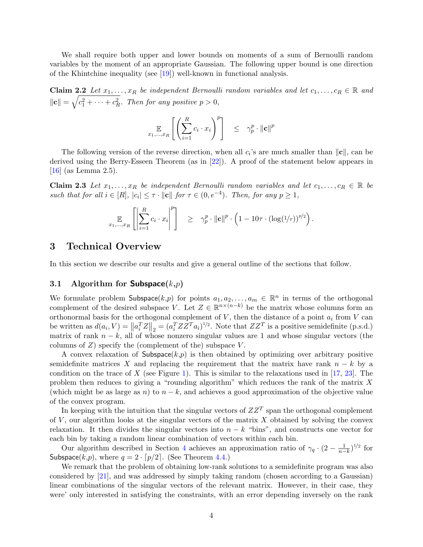<span id="page-4-2"></span>We shall require both upper and lower bounds on moments of a sum of Bernoulli random variables by the moment of an appropriate Gaussian. The following upper bound is one direction of the Khintchine inequality (see [\[19\]](#page-18-8)) well-known in functional analysis.

<span id="page-4-1"></span>Claim 2.2 Let  $x_1, \ldots, x_R$  be independent Bernoulli random variables and let  $c_1, \ldots, c_R \in \mathbb{R}$  and  $||\mathbf{c}|| = \sqrt{c_1^2 + \cdots + c_R^2}$ . Then for any positive  $p > 0$ ,

$$
\mathop{\mathbb{E}}_{x_1,\ldots,x_R}\left[\left(\sum_{i=1}^R c_i \cdot x_i\right)^p\right] \leq \gamma_p^p \cdot \|\mathbf{c}\|^p
$$

The following version of the reverse direction, when all  $c_i$ 's are much smaller than  $\|\mathbf{c}\|$ , can be derived using the Berry-Esseen Theorem (as in [\[22\]](#page-18-9)). A proof of the statement below appears in [\[16\]](#page-18-6) (as Lemma 2.5).

Claim 2.3 Let  $x_1, \ldots, x_R$  be independent Bernoulli random variables and let  $c_1, \ldots, c_R \in \mathbb{R}$  be such that for all  $i \in [R]$ ,  $|c_i| \leq \tau \cdot ||\mathbf{c}||$  for  $\tau \in (0, e^{-4})$ . Then, for any  $p \geq 1$ ,

<span id="page-4-0"></span>
$$
\mathop{\mathbb{E}}_{x_1,\ldots,x_R} \left[ \left| \sum_{i=1}^R c_i \cdot x_i \right|^p \right] \geq \gamma_p^p \cdot ||\mathbf{c}||^p \cdot \left(1 - 10\tau \cdot (\log(1/\tau))^{p/2}\right).
$$

### 3 Technical Overview

In this section we describe our results and give a general outline of the sections that follow.

### 3.1 Algorithm for **Subspace** $(k,p)$

We formulate problem Subspace $(k, p)$  for points  $a_1, a_2, \ldots, a_m \in \mathbb{R}^n$  in terms of the orthogonal complement of the desired subspace V. Let  $Z \in \mathbb{R}^{n \times (n-k)}$  be the matrix whose columns form an orthonormal basis for the orthogonal complement of  $V$ , then the distance of a point  $a_i$  from  $V$  can be written as  $d(a_i, V) = ||a_i^T Z||_2 = (a_i^T Z Z^T a_i)^{1/2}$ . Note that  $Z Z^T$  is a positive semidefinite (p.s.d.) matrix of rank  $n - k$ , all of whose nonzero singular values are 1 and whose singular vectors (the columns of  $Z$ ) specify the (complement of the) subspace  $V$ .

A convex relaxation of Subspace $(k, p)$  is then obtained by optimizing over arbitrary positive semidefinite matrices X and replacing the requirement that the matrix have rank  $n - k$  by a condition on the trace of X (see Figure [1\)](#page-6-0). This is similar to the relaxations used in  $[17, 23]$  $[17, 23]$ . The problem then reduces to giving a "rounding algorithm" which reduces the rank of the matrix X (which might be as large as n) to  $n - k$ , and achieves a good approximation of the objective value of the convex program.

In keeping with the intuition that the singular vectors of  $ZZ^T$  span the orthogonal complement of  $V$ , our algorithm looks at the singular vectors of the matrix  $X$  obtained by solving the convex relaxation. It then divides the singular vectors into  $n - k$  "bins", and constructs one vector for each bin by taking a random linear combination of vectors within each bin.

Our algorithm described in Section [4](#page-6-1) achieves an approximation ratio of  $\gamma_q \cdot (2 - \frac{1}{n-k})^{1/2}$  for Subspace(k,p), where  $q = 2 \cdot \lceil p/2 \rceil$ . (See Theorem [4.4.](#page-8-0))

We remark that the problem of obtaining low-rank solutions to a semidefinite program was also considered by [\[21\]](#page-18-10), and was addressed by simply taking random (chosen according to a Gaussian) linear combinations of the singular vectors of the relevant matrix. However, in their case, they were' only interested in satisfying the constraints, with an error depending inversely on the rank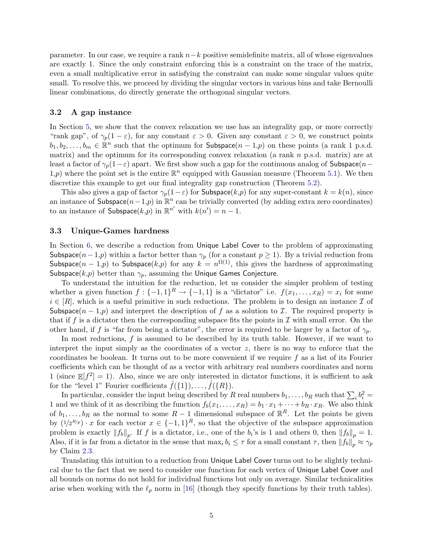<span id="page-5-0"></span>parameter. In our case, we require a rank  $n-k$  positive semidefinite matrix, all of whose eigenvalues are exactly 1. Since the only constraint enforcing this is a constraint on the trace of the matrix, even a small multiplicative error in satisfying the constraint can make some singular values quite small. To resolve this, we proceed by dividing the singular vectors in various bins and take Bernoulli linear combinations, do directly generate the orthogonal singular vectors.

#### 3.2 A gap instance

In Section [5,](#page-9-0) we show that the convex relaxation we use has an integrality gap, or more correctly "rank gap", of  $\gamma_p(1-\varepsilon)$ , for any constant  $\varepsilon > 0$ . Given any constant  $\varepsilon > 0$ , we construct points  $b_1, b_2, \ldots, b_m \in \mathbb{R}^n$  such that the optimum for Subspace $(n-1,p)$  on these points (a rank 1 p.s.d. matrix) and the optimum for its corresponding convex relaxation (a rank  $n$  p.s.d. matrix) are at least a factor of  $\gamma_p(1-\varepsilon)$  apart. We first show such a gap for the continuous analog of Subspace(n– 1,p) where the point set is the entire  $\mathbb{R}^n$  equipped with Gaussian measure (Theorem [5.1\)](#page-9-1). We then discretize this example to get our final integrality gap construction (Theorem [5.2\)](#page-10-0).

This also gives a gap of factor  $\gamma_p(1-\varepsilon)$  for Subspace(k,p) for any super-constant  $k = k(n)$ , since an instance of Subspace $(n-1,p)$  in  $\mathbb{R}^n$  can be trivially converted (by adding extra zero coordinates) to an instance of Subspace $(k, p)$  in  $\mathbb{R}^{n'}$  with  $k(n') = n - 1$ .

### 3.3 Unique-Games hardness

In Section [6,](#page-11-0) we describe a reduction from Unique Label Cover to the problem of approximating Subspace( $n-1,p$ ) within a factor better than  $\gamma_p$  (for a constant  $p \ge 1$ ). By a trivial reduction from Subspace $(n-1,p)$  to Subspace $(k,p)$  for any  $k = n^{\Omega(1)}$ , this gives the hardness of approximating Subspace( $k,p$ ) better than  $\gamma_p$ , assuming the Unique Games Conjecture.

To understand the intuition for the reduction, let us consider the simpler problem of testing whether a given function  $f: \{-1,1\}^R \to \{-1,1\}$  is a "dictator" i.e.  $f(x_1,\ldots,x_R) = x_i$  for some  $i \in [R]$ , which is a useful primitive in such reductions. The problem is to design an instance  $\mathcal I$  of Subspace( $n-1,p$ ) and interpret the description of f as a solution to I. The required property is that if f is a dictator then the corresponding subspace fits the points in  $\mathcal I$  with small error. On the other hand, if f is "far from being a dictator", the error is required to be larger by a factor of  $\gamma_p$ .

In most reductions,  $f$  is assumed to be described by its truth table. However, if we want to interpret the input simply as the coordinates of a vector  $z$ , there is no way to enforce that the coordinates be boolean. It turns out to be more convenient if we require  $f$  as a list of its Fourier coefficients which can be thought of as a vector with arbitrary real numbers coordinates and norm 1 (since  $\mathbb{E}[f^2] = 1$ ). Also, since we are only interested in dictator functions, it is sufficient to ask for the "level 1" Fourier coefficients  $\hat{f}(\{1\}), \ldots, \hat{f}(\{R\}).$ 

In particular, consider the input being described by R real numbers  $b_1, \ldots, b_R$  such that  $\sum_i b_i^2 =$ 1 and we think of it as describing the function  $f_b(x_1, \ldots, x_R) = b_1 \cdot x_1 + \cdots + b_R \cdot x_R$ . We also think of  $b_1, \ldots, b_R$  as the normal to some  $R-1$  dimensional subspace of  $\mathbb{R}^R$ . Let the points be given by  $(1/2^{R/p}) \cdot x$  for each vector  $x \in \{-1,1\}^R$ , so that the objective of the subspace approximation problem is exactly  $||f_b||_p$ . If f is a dictator, i.e., one of the  $b_i$ 's is 1 and others 0, then  $||f_b||_p = 1$ . Also, if it is far from a dictator in the sense that  $\max_i b_i \leq \tau$  for a small constant  $\tau$ , then  $||f_b||_p \approx \gamma_p$ by Claim [2.3.](#page-4-0)

Translating this intuition to a reduction from Unique Label Cover turns out to be slightly technical due to the fact that we need to consider one function for each vertex of Unique Label Cover and all bounds on norms do not hold for individual functions but only on average. Similar technicalities arise when working with the  $\ell_p$  norm in [\[16\]](#page-18-6) (though they specify functions by their truth tables).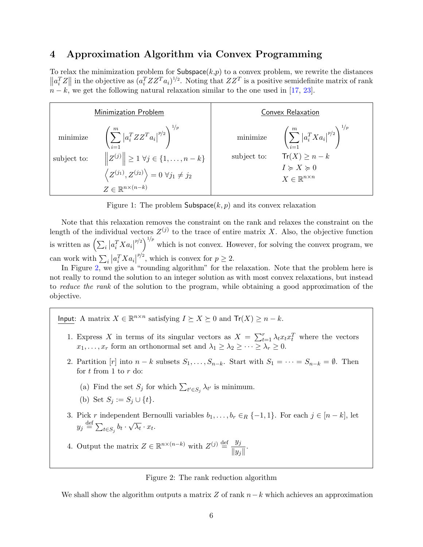## <span id="page-6-3"></span><span id="page-6-1"></span>4 Approximation Algorithm via Convex Programming

To relax the minimization problem for Subspace $(k, p)$  to a convex problem, we rewrite the distances  $||a_i^T Z||$  in the objective as  $(a_i^T Z Z^T a_i)^{1/2}$ . Noting that  $Z Z^T$  is a positive semidefinite matrix of rank  $n - k$ , we get the following natural relaxation similar to the one used in [\[17,](#page-18-3) [23\]](#page-18-0).

| <b>Minimization Problem</b>                                                           | Convex Relaxation                                              |
|---------------------------------------------------------------------------------------|----------------------------------------------------------------|
| minimize $\left(\sum_{i=1}^m \left  a_i^T Z Z^T a_i \right ^{p/2} \right)^{\gamma_P}$ | minimize $\left(\sum_{i=1}^m  a_i^T X a_i ^{p/2}\right)^{1/p}$ |
| $  Z^{(j)}   \ge 1 \,\forall j \in \{1, , n-k\}$                                      | $Tr(X) \geq n - k$                                             |
| subject to:                                                                           | subject to:                                                    |
| $\langle Z^{(j_1)}, Z^{(j_2)} \rangle = 0 \; \forall j_1 \neq j_2$                    | $I \geqslant X \geqslant 0$                                    |
| $Z \in \mathbb{R}^{n \times (n-k)}$                                                   | $X \in \mathbb{R}^{n \times n}$                                |

<span id="page-6-0"></span>Figure 1: The problem  $\mathsf{Subspace}(k, p)$  and its convex relaxation

Note that this relaxation removes the constraint on the rank and relaxes the constraint on the length of the individual vectors  $Z^{(j)}$  to the trace of entire matrix X. Also, the objective function is written as  $\left(\sum_i \left| a_i^T X a_i \right| \right)$  $\binom{p}{2}^{1/p}$  which is not convex. However, for solving the convex program, we can work with  $\sum_i |a_i^T X a_i|$  $p/2$ , which is convex for  $p \geq 2$ .

In Figure [2,](#page-6-2) we give a "rounding algorithm" for the relaxation. Note that the problem here is not really to round the solution to an integer solution as with most convex relaxations, but instead to reduce the rank of the solution to the program, while obtaining a good approximation of the objective.

Input: A matrix  $X \in \mathbb{R}^{n \times n}$  satisfying  $I \succeq X \succeq 0$  and  $Tr(X) \geq n - k$ .

- 1. Express X in terms of its singular vectors as  $X = \sum_{t=1}^{r} \lambda_t x_t x_t^T$  where the vectors  $x_1, \ldots, x_r$  form an orthonormal set and  $\lambda_1 \geq \lambda_2 \geq \cdots \geq \lambda_r \geq 0$ .
- 2. Partition  $[r]$  into  $n k$  subsets  $S_1, \ldots, S_{n-k}$ . Start with  $S_1 = \cdots = S_{n-k} = \emptyset$ . Then for  $t$  from 1 to  $r$  do:
	- (a) Find the set  $S_j$  for which  $\sum_{t' \in S_j} \lambda_{t'}$  is minimum.
	- (b) Set  $S_i := S_i \cup \{t\}.$
- 3. Pick r independent Bernoulli variables  $b_1, \ldots, b_r \in_R \{-1, 1\}$ . For each  $j \in [n-k]$ , let  $y_j \stackrel{\text{def}}{=} \sum_{t \in S_j} b_t$ . √  $\overline{\lambda_t} \cdot x_t.$

4. Output the matrix  $Z \in \mathbb{R}^{n \times (n-k)}$  with  $Z^{(j)} \stackrel{\text{def}}{=} \frac{y_j}{y_j}$  $\frac{y_j}{\|y_j\|}$ .

<span id="page-6-2"></span>Figure 2: The rank reduction algorithm

We shall show the algorithm outputs a matrix  $Z$  of rank  $n-k$  which achieves an approximation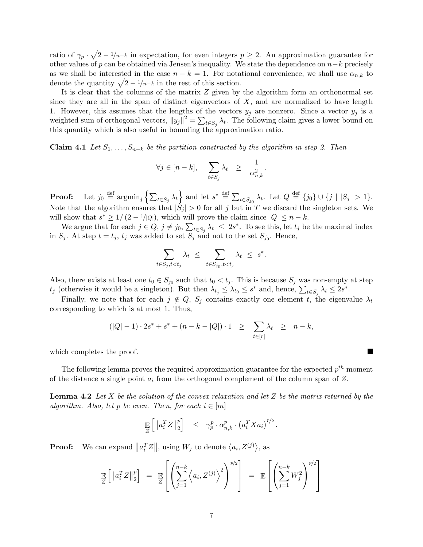ratio of  $\gamma_p \cdot \sqrt{2 - 1/n - k}$  in expectation, for even integers  $p \geq 2$ . An approximation guarantee for other values of p can be obtained via Jensen's inequality. We state the dependence on  $n-k$  precisely as we shall be interested in the case  $n - k = 1$ . For notational convenience, we shall use  $\alpha_{n,k}$  to denote the quantity  $\sqrt{2 - 1/n-k}$  in the rest of this section.

It is clear that the columns of the matrix Z given by the algorithm form an orthonormal set since they are all in the span of distinct eigenvectors of  $X$ , and are normalized to have length 1. However, this assumes that the lengths of the vectors  $y_j$  are nonzero. Since a vector  $y_j$  is a weighted sum of orthogonal vectors,  $||y_j||^2 = \sum_{t \in S_j} \lambda_t$ . The following claim gives a lower bound on this quantity which is also useful in bounding the approximation ratio.

<span id="page-7-0"></span>**Claim 4.1** Let  $S_1, \ldots, S_{n-k}$  be the partition constructed by the algorithm in step 2. Then

$$
\forall j \in [n-k], \quad \sum_{t \in S_j} \lambda_t \geq \frac{1}{\alpha_{n,k}^2}.
$$

**Proof:** Let  $j_0 \stackrel{\text{def}}{=} \operatorname{argmin}_j \left\{ \sum_{t \in S_j} \lambda_t \right\}$  and let  $s^* \stackrel{\text{def}}{=} \sum_{t \in S_{j_0}} \lambda_t$ . Let  $Q \stackrel{\text{def}}{=} \{ j_0 \} \cup \{ j | |S_j| > 1 \}$ . Note that the algorithm ensures that  $|\mathcal{S}_j| > 0$  for all j but in T we discard the singleton sets. We will show that  $s^* \geq 1/(2 - 1/|Q|)$ , which will prove the claim since  $|Q| \leq n - k$ .

We argue that for each  $j \in Q$ ,  $j \neq j_0$ ,  $\sum_{t \in S_j} \lambda_t \leq 2s^*$ . To see this, let  $t_j$  be the maximal index in  $S_j$ . At step  $t = t_j$ ,  $t_j$  was added to set  $S_j$  and not to the set  $S_{j_0}$ . Hence,

$$
\sum_{t \in S_j, t < t_j} \lambda_t \leq \sum_{t \in S_{j_0}, t < t_j} \lambda_t \leq s^*.
$$

Also, there exists at least one  $t_0 \in S_{j_0}$  such that  $t_0 < t_j$ . This is because  $S_j$  was non-empty at step  $t_j$  (otherwise it would be a singleton). But then  $\lambda_{t_j} \leq \lambda_{t_0} \leq s^*$  and, hence,  $\sum_{t \in S_j} \lambda_t \leq 2s^*$ .

Finally, we note that for each  $j \notin Q$ ,  $S_j$  contains exactly one element t, the eigenvalue  $\lambda_t$ corresponding to which is at most 1. Thus,

$$
(|Q|-1) \cdot 2s^* + s^* + (n-k-|Q|) \cdot 1 \ge \sum_{t \in [r]} \lambda_t \ge n-k,
$$

which completes the proof.

The following lemma proves the required approximation guarantee for the expected  $p^{th}$  moment of the distance a single point  $a_i$  from the orthogonal complement of the column span of Z.

<span id="page-7-1"></span>**Lemma 4.2** Let X be the solution of the convex relaxation and let Z be the matrix returned by the algorithm. Also, let p be even. Then, for each  $i \in [m]$ 

$$
\mathbb{E}_{Z}\left[\left\|a_i^T Z\right\|_2^p\right] \leq \gamma_p^p \cdot \alpha_{n,k}^p \cdot \left(a_i^T X a_i\right)^{p/2}.
$$

**Proof:** We can expand  $||a_i^T Z||$ , using  $W_j$  to denote  $\langle a_i, Z^{(j)} \rangle$ , as

$$
\mathbb{E}\left[\left\|a_i^T Z\right\|_2^p\right] = \mathbb{E}\left[\left(\sum_{j=1}^{n-k} \left\langle a_i, Z^{(j)} \right\rangle^2\right)^{p/2}\right] = \mathbb{E}\left[\left(\sum_{j=1}^{n-k} W_j^2\right)^{p/2}\right]
$$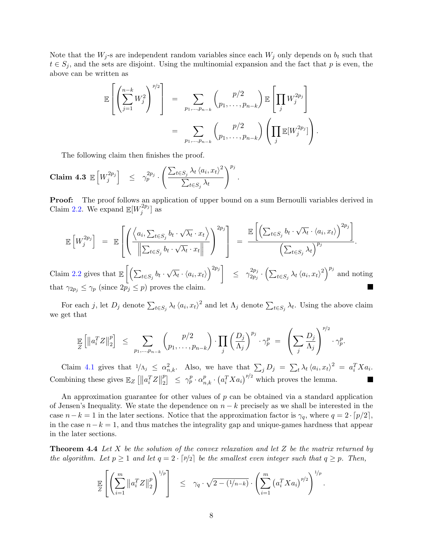Note that the  $W_j$ -s are independent random variables since each  $W_j$  only depends on  $b_t$  such that  $t \in S_j$ , and the sets are disjoint. Using the multinomial expansion and the fact that p is even, the above can be written as

$$
\mathbb{E}\left[\left(\sum_{j=1}^{n-k}W_j^2\right)^{p/2}\right] = \sum_{p_1,\dots,p_{n-k}} \binom{p/2}{p_1,\dots,p_{n-k}} \mathbb{E}\left[\prod_j W_j^{2p_j}\right]
$$
  

$$
= \sum_{p_1,\dots,p_{n-k}} \binom{p/2}{p_1,\dots,p_{n-k}} \left(\prod_j \mathbb{E}[W_j^{2p_j}]\right).
$$

The following claim then finishes the proof.

$$
\textbf{Claim 4.3 } \mathbb{E}\left[W_j^{2p_j}\right] \leq \gamma_p^{2p_j} \cdot \left(\frac{\sum_{t \in S_j} \lambda_t \langle a_i, x_t \rangle^2}{\sum_{t \in S_j} \lambda_t}\right)^{p_j}.
$$

**Proof:** The proof follows an application of upper bound on a sum Bernoulli variables derived in Claim [2.2.](#page-4-1) We expand  $\mathbb{E}[W_i^{2p_j}]$  $\binom{2p_j}{j}$  as

$$
\mathbb{E}\left[W_j^{2p_j}\right] = \mathbb{E}\left[\left(\frac{\left\langle a_i, \sum_{t \in S_j} b_t \cdot \sqrt{\lambda_t} \cdot x_t \right\rangle}{\left\|\sum_{t \in S_j} b_t \cdot \sqrt{\lambda_t} \cdot x_t\right\|}\right)^{2p_j}\right] = \frac{\mathbb{E}\left[\left(\sum_{t \in S_j} b_t \cdot \sqrt{\lambda_t} \cdot \langle a_i, x_t \rangle\right)^{2p_j}\right]}{\left(\sum_{t \in S_j} \lambda_t\right)^{p_j}}.
$$

Claim [2.2](#page-4-1) gives that  $\mathbb{E}\left[\left(\sum_{t\in S_j} b_t\right)\right]$ √  $\overline{\lambda_t} \cdot \langle a_i, x_t \rangle \Big)^{2p_j} \Bigg] \quad \leq \quad \gamma_{2p_j}^{2p_j}$  $\frac{2p_j}{2p_j} \cdot \left( \sum_{t \in S_j} \lambda_t \langle a_i, x_t \rangle^2 \right)^{p_j}$  and noting that  $\gamma_{2p_j} \leq \gamma_p$  (since  $2p_j \leq p$ ) proves the claim.

For each j, let  $D_j$  denote  $\sum_{t \in S_j} \lambda_t \langle a_i, x_t \rangle^2$  and let  $\Lambda_j$  denote  $\sum_{t \in S_j} \lambda_t$ . Using the above claim we get that

 $h^2$ 

$$
\mathop{\mathbb{E}}_{Z}\left[\left\|a_i^T Z\right\|_2^p\right] \leq \sum_{p_1,\ldots,p_{n-k}} \binom{p/2}{p_1,\ldots,p_{n-k}} \cdot \prod_j \left(\frac{D_j}{\Lambda_j}\right)^{p_j} \cdot \gamma_p^p = \left(\sum_j \frac{D_j}{\Lambda_j}\right)^{p/2} \cdot \gamma_p^p.
$$

Claim [4.1](#page-7-0) gives that  $1/\Lambda_j \leq \alpha_{n,k}^2$ . Also, we have that  $\sum_j D_j = \sum_t \lambda_t \langle a_i, x_t \rangle^2 = a_i^T X a_i$ . Combining these gives  $\mathbb{E}_Z\left[\left\|a_i^TZ\right\| \right]$ p  $\left[ \begin{array}{c} p \\ 2 \end{array} \right] \leq \gamma_p^p \cdot \alpha_{n,k}^p \cdot \left( a_i^T X a_i \right)^{p/2}$  which proves the lemma.

An approximation guarantee for other values of  $p$  can be obtained via a standard application of Jensen's Inequality. We state the dependence on  $n - k$  precisely as we shall be interested in the case  $n-k=1$  in the later sections. Notice that the approximation factor is  $\gamma_q$ , where  $q=2\cdot\lceil p/2 \rceil$ , in the case  $n-k=1$ , and thus matches the integrality gap and unique-games hardness that appear in the later sections.

**Theorem 4.4** Let X be the solution of the convex relaxation and let Z be the matrix returned by the algorithm. Let  $p \ge 1$  and let  $q = 2 \cdot [p/2]$  be the smallest even integer such that  $q \ge p$ . Then,

<span id="page-8-0"></span>
$$
\mathbb{E}\left[\left(\sum_{i=1}^m \|a_i^T Z\|_2^p\right)^{1/p}\right] \leq \gamma_q \cdot \sqrt{2-(1/n-k)} \cdot \left(\sum_{i=1}^m \left(a_i^T X a_i\right)^{p/2}\right)^{1/p}.
$$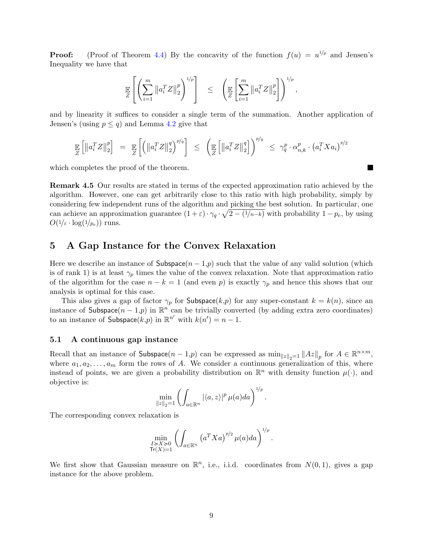**Proof:** (Proof of Theorem [4.4\)](#page-8-0) By the concavity of the function  $f(u) = u^{1/p}$  and Jensen's Inequality we have that

$$
\mathop{\mathbb{E}}_{Z}\left[\left(\sum_{i=1}^{m}\left\|a_{i}^{T}Z\right\|_{2}^{p}\right)^{1/p}\right] \leq \left(\mathop{\mathbb{E}}_{Z}\left[\sum_{i=1}^{m}\left\|a_{i}^{T}Z\right\|_{2}^{p}\right]\right)^{1/p},
$$

and by linearity it suffices to consider a single term of the summation. Another application of Jensen's (using  $p \leq q$ ) and Lemma [4.2](#page-7-1) give that

$$
\mathop{\mathbb{E}}_{Z}\left[\left\|a_i^T Z\right\|_2^p\right] = \mathop{\mathbb{E}}_{Z}\left[\left(\left\|a_i^T Z\right\|_2^q\right)^{p/q}\right] \leq \left(\mathop{\mathbb{E}}_{Z}\left[\left\|a_i^T Z\right\|_2^q\right]\right)^{p/q} \leq \gamma_q^p \cdot \alpha_{n,k}^p \cdot \left(a_i^T X a_i\right)^{p/2}
$$

which completes the proof of the theorem.

Remark 4.5 Our results are stated in terms of the expected approximation ratio achieved by the algorithm. However, one can get arbitrarily close to this ratio with high probability, simply by considering few independent runs of the algorithm and picking the best solution. In particular, one can achieve an approximation guarantee  $(1+\varepsilon)\cdot\gamma_q\cdot\sqrt{2-(1/n-k)}$  with probability  $1-p_e$ , by using  $O(1/\varepsilon \cdot \log(1/p_e))$  runs.

### <span id="page-9-0"></span>5 A Gap Instance for the Convex Relaxation

Here we describe an instance of Subspace $(n-1,p)$  such that the value of any valid solution (which is of rank 1) is at least  $\gamma_p$  times the value of the convex relaxation. Note that approximation ratio of the algorithm for the case  $n - k = 1$  (and even p) is exactly  $\gamma_p$  and hence this shows that our analysis is optimal for this case.

This also gives a gap of factor  $\gamma_p$  for Subspace(k,p) for any super-constant  $k = k(n)$ , since an instance of Subspace $(n-1,p)$  in  $\mathbb{R}^n$  can be trivially converted (by adding extra zero coordinates) to an instance of  $\textsf{Subspace}(k,p)$  in  $\mathbb{R}^{n'}$  with  $k(n') = n - 1$ .

### 5.1 A continuous gap instance

Recall that an instance of  $\textsf{Subspace}(n-1,p)$  can be expressed as  $\min_{\|z\|_2=1} \|Az\|_p$  for  $A \in \mathbb{R}^{n \times m}$ , where  $a_1, a_2, \ldots, a_m$  form the rows of A. We consider a continuous generalization of this, where instead of points, we are given a probability distribution on  $\mathbb{R}^n$  with density function  $\mu(\cdot)$ , and objective is:

$$
\min_{\|z\|_2=1} \left( \int_{a\in\mathbb{R}^n} |\langle a,z\rangle|^p \,\mu(a)da \right)^{1/p}.
$$

The corresponding convex relaxation is

<span id="page-9-1"></span>
$$
\min_{\substack{I \succcurlyeq X \succcurlyeq 0 \\ \mathsf{Tr}(X)=1}} \left( \int_{a \in \mathbb{R}^n} \left( a^T X a \right)^{p/2} \mu(a) da \right)^{1/p}.
$$

We first show that Gaussian measure on  $\mathbb{R}^n$ , i.e., i.i.d. coordinates from  $N(0, 1)$ , gives a gap instance for the above problem.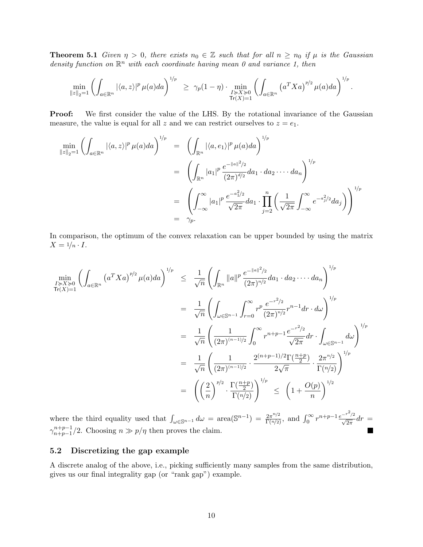**Theorem 5.1** Given  $\eta > 0$ , there exists  $n_0 \in \mathbb{Z}$  such that for all  $n \geq n_0$  if  $\mu$  is the Gaussian density function on  $\mathbb{R}^n$  with each coordinate having mean 0 and variance 1, then

$$
\min_{\|z\|_2=1} \left( \int_{a\in\mathbb{R}^n} |\langle a,z\rangle|^p \, \mu(a) da \right)^{1/p} \ \geq \ \gamma_p(1-\eta) \cdot \min_{\substack{I\succcurlyeq X\succcurlyeq 0 \\ \mathsf{Tr}(X)=1}} \left( \int_{a\in\mathbb{R}^n} \left( a^T X a \right)^{p/2} \mu(a) da \right)^{1/p}.
$$

**Proof:** We first consider the value of the LHS. By the rotational invariance of the Gaussian measure, the value is equal for all z and we can restrict ourselves to  $z = e_1$ .

$$
\min_{\|z\|_2=1} \left( \int_{a \in \mathbb{R}^n} |\langle a, z \rangle|^p \mu(a) da \right)^{1/p} = \left( \int_{\mathbb{R}^n} |\langle a, e_1 \rangle|^p \mu(a) da \right)^{1/p} \n= \left( \int_{\mathbb{R}^n} |a_1|^p \frac{e^{-\|a\|^2/2}}{(2\pi)^{d/2}} da_1 \cdot da_2 \cdot \cdots da_n \right)^{1/p} \n= \left( \int_{-\infty}^{\infty} |a_1|^p \frac{e^{-a_1^2/2}}{\sqrt{2\pi}} da_1 \cdot \prod_{j=2}^n \left( \frac{1}{\sqrt{2\pi}} \int_{-\infty}^{\infty} e^{-a_j^2/2} da_j \right) \right)^{1/p} \n= \gamma_p.
$$

In comparison, the optimum of the convex relaxation can be upper bounded by using the matrix  $X = \frac{1}{n} \cdot I$ .

$$
\min_{I \ge X \ge 0} \left( \int_{a \in \mathbb{R}^n} \left( a^T X a \right)^{p/2} \mu(a) da \right)^{1/p} \le \frac{1}{\sqrt{n}} \left( \int_{\mathbb{R}^n} \|a\|^p \frac{e^{-\|a\|^2/2}}{(2\pi)^{n/2}} da_1 \cdot da_2 \cdot \cdots \cdot da_n \right)^{1/p}
$$
\n
$$
= \frac{1}{\sqrt{n}} \left( \int_{\omega \in \mathbb{S}^{n-1}} \int_{r=0}^{\infty} r^p \frac{e^{-r^2/2}}{(2\pi)^{n/2}} r^{n-1} dr \cdot d\omega \right)^{1/p}
$$
\n
$$
= \frac{1}{\sqrt{n}} \left( \frac{1}{(2\pi)^{(n-1)/2}} \int_0^{\infty} r^{n+p-1} \frac{e^{-r^2/2}}{\sqrt{2\pi}} dr \cdot \int_{\omega \in \mathbb{S}^{n-1}} d\omega \right)^{1/p}
$$
\n
$$
= \frac{1}{\sqrt{n}} \left( \frac{1}{(2\pi)^{(n-1)/2}} \cdot \frac{2^{(n+p-1)/2} \Gamma(\frac{n+p}{2})}{2\sqrt{\pi}} \cdot \frac{2\pi^{n/2}}{\Gamma(n/2)} \right)^{1/p}
$$
\n
$$
= \left( \left( \frac{2}{n} \right)^{p/2} \cdot \frac{\Gamma(\frac{n+p}{2})}{\Gamma(n/2)} \right)^{1/p} \le \left( 1 + \frac{O(p)}{n} \right)^{1/2}
$$

where the third equality used that  $\int_{\omega \in \mathbb{S}^{n-1}} d\omega = \text{area}(\mathbb{S}^{n-1}) = \frac{2\pi^{n/2}}{\Gamma(n/2)}$  $\frac{2\pi^{n/2}}{\Gamma(n/2)}$ , and  $\int_0^\infty r^{n+p-1} \frac{e^{-r^2/2}}{\sqrt{2\pi}} dr =$  $\gamma_{n+n-1}^{n+p-1}$  $n+p-1/2$ . Choosing  $n \gg p/\eta$  then proves the claim.

#### 5.2 Discretizing the gap example

<span id="page-10-0"></span>A discrete analog of the above, i.e., picking sufficiently many samples from the same distribution, gives us our final integrality gap (or "rank gap") example.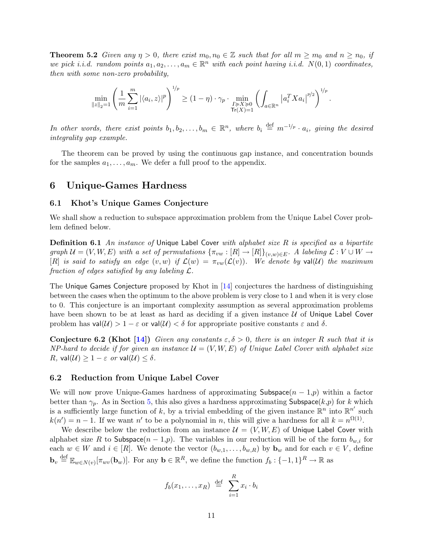<span id="page-11-1"></span>**Theorem 5.2** Given any  $\eta > 0$ , there exist  $m_0, n_0 \in \mathbb{Z}$  such that for all  $m \geq m_0$  and  $n \geq n_0$ , if we pick i.i.d. random points  $a_1, a_2, \ldots, a_m \in \mathbb{R}^n$  with each point having i.i.d.  $N(0, 1)$  coordinates, then with some non-zero probability,

$$
\min_{\|z\|_2=1} \left(\frac{1}{m}\sum_{i=1}^m |\langle a_i, z\rangle|^p\right)^{1/p} \ge (1-\eta) \cdot \gamma_p \cdot \min_{\substack{I \succcurlyeq X \succcurlyeq 0 \\ \text{Tr}(X)=1}} \left(\int_{a \in \mathbb{R}^n} \left|a_i^T X a_i\right|^{p/2}\right)^{1/p}.
$$

In other words, there exist points  $b_1, b_2, \ldots, b_m \in \mathbb{R}^n$ , where  $b_i \stackrel{\text{def}}{=} m^{-1/p} \cdot a_i$ , giving the desired integrality gap example.

The theorem can be proved by using the continuous gap instance, and concentration bounds for the samples  $a_1, \ldots, a_m$ . We defer a full proof to the appendix.

## <span id="page-11-0"></span>6 Unique-Games Hardness

### 6.1 Khot's Unique Games Conjecture

We shall show a reduction to subspace approximation problem from the Unique Label Cover problem defined below.

**Definition 6.1** An instance of Unique Label Cover with alphabet size  $R$  is specified as a bipartite graph  $\mathcal{U} = (V, W, E)$  with a set of permutations  $\{\pi_{vw} : [R] \to [R]\}_{(v,w) \in E}$ . A labeling  $\mathcal{L} : V \cup W \to$ [R] is said to satisfy an edge  $(v, w)$  if  $\mathcal{L}(w) = \pi_{vw}(\mathcal{L}(v))$ . We denote by val(U) the maximum fraction of edges satisfied by any labeling  $\mathcal{L}$ .

The Unique Games Conjecture proposed by Khot in [\[14\]](#page-18-5) conjectures the hardness of distinguishing between the cases when the optimum to the above problem is very close to 1 and when it is very close to 0. This conjecture is an important complexity assumption as several approximation problems have been shown to be at least as hard as deciding if a given instance  $U$  of Unique Label Cover problem has  $val(\mathcal{U}) > 1 - \varepsilon$  or  $val(\mathcal{U}) < \delta$  for appropriate positive constants  $\varepsilon$  and  $\delta$ .

**Conjecture 6.2 (Khot [\[14\]](#page-18-5))** Given any constants  $\varepsilon, \delta > 0$ , there is an integer R such that it is NP-hard to decide if for given an instance  $\mathcal{U} = (V, W, E)$  of Unique Label Cover with alphabet size R, val $(\mathcal{U}) \geq 1 - \varepsilon$  or val $(\mathcal{U}) \leq \delta$ .

### 6.2 Reduction from Unique Label Cover

We will now prove Unique-Games hardness of approximating Subspace $(n-1,p)$  within a factor better than  $\gamma_p$ . As in Section [5,](#page-9-0) this also gives a hardness approximating Subspace(k,p) for k which is a sufficiently large function of k, by a trivial embedding of the given instance  $\mathbb{R}^n$  into  $\mathbb{R}^{n'}$  such  $k(n') = n - 1$ . If we want n' to be a polynomial in n, this will give a hardness for all  $k = n^{\Omega(1)}$ .

We describe below the reduction from an instance  $\mathcal{U} = (V, W, E)$  of Unique Label Cover with alphabet size R to Subspace $(n-1,p)$ . The variables in our reduction will be of the form  $b_{w,i}$  for each  $w \in W$  and  $i \in [R]$ . We denote the vector  $(b_{w,1}, \ldots, b_{w,R})$  by  $\mathbf{b}_w$  and for each  $v \in V$ , define  $\mathbf{b}_v \stackrel{\text{def}}{=} \mathbb{E}_{w \in N(v)}[\pi_{wv}(\mathbf{b}_w)]$ . For any  $\mathbf{b} \in \mathbb{R}^R$ , we define the function  $f_b: \{-1,1\}^R \to \mathbb{R}$  as

$$
f_b(x_1,\ldots,x_R) \stackrel{\text{def}}{=} \sum_{i=1}^R x_i \cdot b_i
$$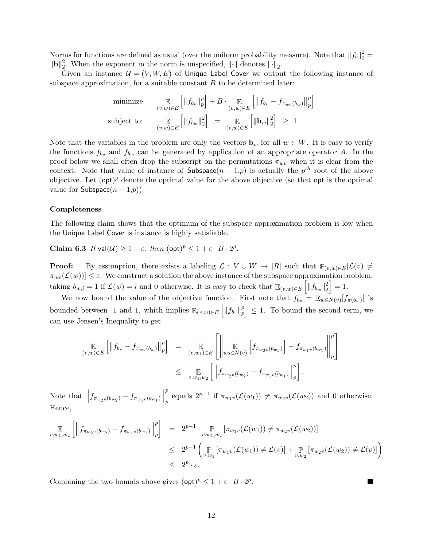Norms for functions are defined as usual (over the uniform probability measure). Note that  $||f_b||_2^2 =$  $\|{\bf b}\|_2^2$ <sup>2</sup>. When the exponent in the norm is unspecified,  $\|\cdot\|$  denotes  $\|\cdot\|_2$ .

Given an instance  $\mathcal{U} = (V, W, E)$  of Unique Label Cover we output the following instance of subspace approximation, for a suitable constant  $B$  to be determined later:

minimize 
$$
\mathop{\mathbb{E}}_{(v,w)\in E} \left[ \|f_{b_v}\|_p^p \right] + B \cdot \mathop{\mathbb{E}}_{(v,w)\in E} \left[ \left\|f_{b_v} - f_{\pi_{wv}(b_w)}\right\|_p^p \right]
$$
  
subject to: 
$$
\mathop{\mathbb{E}}_{(v,w)\in E} \left[ \|f_{b_w}\|_2^2 \right] = \mathop{\mathbb{E}}_{(v,w)\in E} \left[ \left\| \mathbf{b}_w \right\|_2^2 \right] \ge 1
$$

Note that the variables in the problem are only the vectors  $\mathbf{b}_w$  for all  $w \in W$ . It is easy to verify the functions  $f_{b_v}$  and  $f_{b_w}$  can be generated by application of an appropriate operator A. In the proof below we shall often drop the subscript on the permutations  $\pi_{wv}$  when it is clear from the context. Note that value of instance of Subspace $(n-1,p)$  is actually the  $p^{th}$  root of the above objective. Let  $(\text{opt})^p$  denote the optimal value for the above objective (so that opt is the optimal value for  $\textsf{Subspace}(n-1,p)$ ).

#### Completeness

The following claim shows that the optimum of the subspace approximation problem is low when the Unique Label Cover is instance is highly satisfiable.

Claim 6.3 If  $val(\mathcal{U}) \geq 1 - \varepsilon$ , then  $(\text{opt})^p \leq 1 + \varepsilon \cdot B \cdot 2^p$ .

**Proof:** By assumption, there exists a labeling  $\mathcal{L}: V \cup W \to [R]$  such that  $\mathbb{P}_{(v,w)\in E}[\mathcal{L}(v) \neq \emptyset]$  $\pi_{wv}(\mathcal{L}(w))] \leq \varepsilon$ . We construct a solution the above instance of the subspace approximation problem, taking  $b_{w,i} = 1$  if  $\mathcal{L}(w) = i$  and 0 otherwise. It is easy to check that  $\mathbb{E}_{(v,w)\in E} \left[||f_{b_w}||_2^2\right]$  $\binom{2}{2} = 1.$ 

We now bound the value of the objective function. First note that  $f_{b_v} = \mathbb{E}_{w \in N(v)}[f_{\pi(b_w)}]$  is bounded between -1 and 1, which implies  $\mathbb{E}_{(v,w)\in E} \left[ ||f_{b_v}||_p^p \right]$  $\begin{bmatrix} p \\ p \end{bmatrix} \leq 1$ . To bound the second term, we can use Jensen's Inequality to get

$$
\mathop{\mathbb{E}}_{(v,w)\in E} \left[ \left\| f_{b_v} - f_{\pi_{wv}(b_w)} \right\|_p^p \right] = \mathop{\mathbb{E}}_{(v,w_1)\in E} \left[ \left\| \mathop{\mathbb{E}}_{w_2 \in N(v)} \left[ f_{\pi_{w_2v}(b_{w_2})} \right] - f_{\pi_{w_1v}(b_{w_1})} \right\|_p^p \right] \n\leq \mathop{\mathbb{E}}_{v,w_1,w_2} \left[ \left\| f_{\pi_{w_2v}(b_{w_2})} - f_{\pi_{w_1v}(b_{w_1})} \right\|_p^p \right].
$$

Note that  $||f_{\pi_{w_2v}(b_{w_2})} - f_{\pi_{w_1v}(b_{w_1})}||$ p p equals  $2^{p-1}$  if  $\pi_{w_1v}(\mathcal{L}(w_1)) \neq \pi_{w_2v}(\mathcal{L}(w_2))$  and 0 otherwise. Hence,

$$
\mathbb{E}_{v,w_1,w_2} \left[ \left\| f_{\pi_{w_2v}(b_{w_2})} - f_{\pi_{w_1v}(b_{w_1})} \right\|_p^p \right] = 2^{p-1} \cdot \mathbb{E}_{v,w_1,w_2} \left[ \pi_{w_1v}(\mathcal{L}(w_1)) \neq \pi_{w_2v}(\mathcal{L}(w_2)) \right]
$$
\n
$$
\leq 2^{p-1} \left( \mathbb{E}_{v,w_1} \left[ \pi_{w_1v}(\mathcal{L}(w_1)) \neq \mathcal{L}(v) \right] + \mathbb{E}_{v,w_2} \left[ \pi_{w_2v}(\mathcal{L}(w_2)) \neq \mathcal{L}(v) \right] \right)
$$
\n
$$
\leq 2^p \cdot \varepsilon.
$$

Combining the two bounds above gives  $(\text{opt})^p \leq 1 + \varepsilon \cdot B \cdot 2^p$ .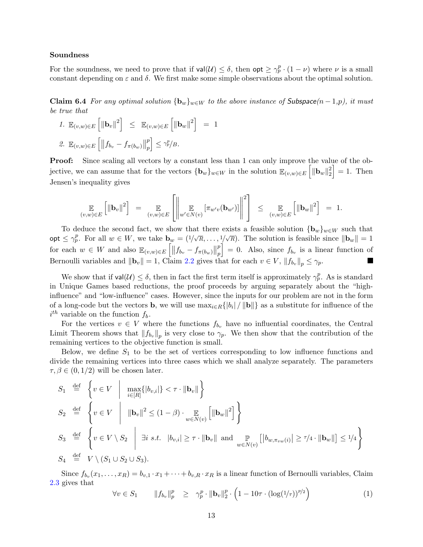#### Soundness

<span id="page-13-0"></span>For the soundness, we need to prove that if  $val(\mathcal{U}) \leq \delta$ , then  $opt \geq \gamma_p^p \cdot (1 - \nu)$  where  $\nu$  is a small constant depending on  $\varepsilon$  and  $\delta$ . We first make some simple observations about the optimal solution.

Claim 6.4 For any optimal solution  ${\bf b}_w\}_{w\in W}$  to the above instance of Subspace $(n-1,p)$ , it must be true that

 $\mathbf 1$ 

1. 
$$
\mathbb{E}_{(v,w)\in E} \left[ ||\mathbf{b}_v||^2 \right] \leq \mathbb{E}_{(v,w)\in E} \left[ ||\mathbf{b}_w||^2 \right] =
$$
  
\n2.  $\mathbb{E}_{(v,w)\in E} \left[ ||f_{b_v} - f_{\pi(b_w)}||_p^p \right] \leq \gamma_p^p/B.$ 

Proof: Since scaling all vectors by a constant less than 1 can only improve the value of the objective, we can assume that for the vectors  ${\{\mathbf{b}_w\}_{w\in W}}$  in the solution  $\mathbb{E}_{(v,w)\in E}\left[\|\mathbf{b}_w\|_2^2\right]$  $\begin{bmatrix} 2 \\ 2 \end{bmatrix} = 1$ . Then Jensen's inequality gives

$$
\mathop{\mathbb{E}}_{(v,w)\in E} \left[ \|\mathbf{b}_v\|^2 \right] = \mathop{\mathbb{E}}_{(v,w)\in E} \left[ \left\| \mathop{\mathbb{E}}_{w'\in N(v)} \left[ \pi_{w'v}(\mathbf{b}_{w'}) \right] \right\|^2 \right] \leq \mathop{\mathbb{E}}_{(v,w)\in E} \left[ \|\mathbf{b}_w\|^2 \right] = 1.
$$

To deduce the second fact, we show that there exists a feasible solution  ${\{\mathbf{b}_w\}}_{w\in W}$  such that opt  $\leq \gamma_p^p$ . For all  $w \in W$ , we take  $\mathbf{b}_w = (1/\sqrt{R}, \ldots, 1/\sqrt{R})$ . The solution is feasible since  $\|\mathbf{b}_w\| = 1$ for each  $w \in W$  and also  $\mathbb{E}_{(v,w)\in E} [||f_{b_v} - f_{\pi(b_w)}||]$ p  $\Big] = 0.$  Also, since  $f_{b_v}$  is a linear function of p Bernoulli variables and  $\|\mathbf{b}_v\| = 1$ , Claim [2.2](#page-4-1) gives that for each  $v \in V$ ,  $||f_{b_v}||_p \leq \gamma_p$ . F

We show that if  $val(\mathcal{U}) \leq \delta$ , then in fact the first term itself is approximately  $\gamma_p^p$ . As is standard in Unique Games based reductions, the proof proceeds by arguing separately about the "highinfluence" and "low-influence" cases. However, since the inputs for our problem are not in the form of a long-code but the vectors **b**, we will use  $\max_{i \in R} \{|b_i| / ||\mathbf{b}||\}$  as a substitute for influence of the  $i^{th}$  variable on the function  $f_b$ .

For the vertices  $v \in V$  where the functions  $f_{b_v}$  have no influential coordinates, the Central Limit Theorem shows that  $||f_{b_v}||_p$  is very close to  $\gamma_p$ . We then show that the contribution of the remaining vertices to the objective function is small.

Below, we define  $S_1$  to be the set of vertices corresponding to low influence functions and divide the remaining vertices into three cases which we shall analyze separately. The parameters  $\tau, \beta \in (0, 1/2)$  will be chosen later.

$$
S_1 \stackrel{\text{def}}{=} \left\{ v \in V \mid \max_{i \in [R]} \{|b_{v,i}|\} < \tau \cdot \|\mathbf{b}_v\| \right\}
$$
\n
$$
S_2 \stackrel{\text{def}}{=} \left\{ v \in V \mid \|\mathbf{b}_v\|^2 \le (1 - \beta) \cdot \mathop{\mathbb{E}}_{w \in N(v)} \left[ \|\mathbf{b}_w\|^2 \right] \right\}
$$
\n
$$
S_3 \stackrel{\text{def}}{=} \left\{ v \in V \setminus S_2 \mid \exists i \ s.t. \quad |b_{v,i}| \ge \tau \cdot \|\mathbf{b}_v\| \text{ and } \mathop{\mathbb{P}}_{w \in N(v)} \left[ |b_{w, \pi_{vw}(i)}| \ge \tau/4 \cdot \|\mathbf{b}_w\| \right] \le \frac{1}{4} \right\}
$$
\n
$$
S_4 \stackrel{\text{def}}{=} V \setminus (S_1 \cup S_2 \cup S_3).
$$

Since  $f_{b_v}(x_1,\ldots,x_R)=b_{v,1}\cdot x_1+\cdots+b_{v,R}\cdot x_R$  is a linear function of Bernoulli variables, Claim [2.3](#page-4-0) gives that

<span id="page-13-1"></span>
$$
\forall v \in S_1 \qquad \|f_{b_v}\|_p^p \geq \gamma_p^p \cdot \|b_v\|_2^p \cdot \left(1 - 10\tau \cdot (\log(1/\tau))^{p/2}\right) \tag{1}
$$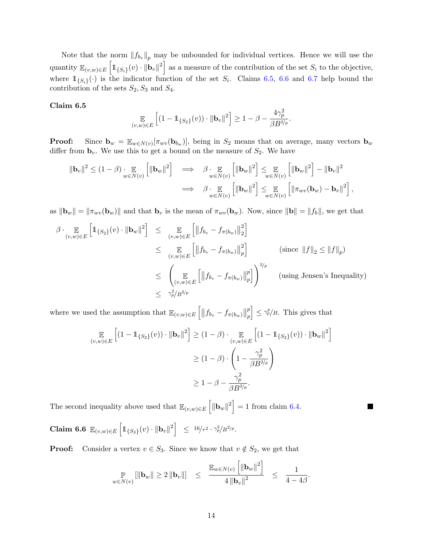Note that the norm  $||f_{b_v}||_p$  may be unbounded for individual vertices. Hence we will use the quantity  $\mathbb{E}_{(v,w)\in E} \left[\mathbb{1}_{\{S_i\}}(v) \cdot ||\mathbf{b}_v||^2\right]$  as a measure of the contribution of the set  $S_i$  to the objective, where  $1_{\{S_i\}}(\cdot)$  is the indicator function of the set  $S_i$ . Claims [6.5,](#page-14-0) [6.6](#page-14-1) and [6.7](#page-15-0) help bound the contribution of the sets  $S_2, S_3$  and  $S_4$ .

### <span id="page-14-0"></span>Claim 6.5

$$
\mathop{\mathbb{E}}_{(v,w)\in E} \left[ (1 - \mathbb{1}_{\{S_2\}}(v)) \cdot \|\mathbf{b}_v\|^2 \right] \ge 1 - \beta - \frac{4\gamma_p^2}{\beta B^{2/p}}
$$

.

П

**Proof:** Since  $\mathbf{b}_w = \mathbb{E}_{w \in N(v)}[\pi_{wv}(\mathbf{b}_{b_w})]$ , being in  $S_2$  means that on average, many vectors  $\mathbf{b}_w$ differ from  $\mathbf{b}_v$ . We use this to get a bound on the measure of  $S_2$ . We have

$$
\|\mathbf{b}_{v}\|^{2} \leq (1-\beta) \cdot \mathop{\mathbb{E}}_{w \in N(v)} \left[ \|\mathbf{b}_{w}\|^{2} \right] \quad \Longrightarrow \quad \beta \cdot \mathop{\mathbb{E}}_{w \in N(v)} \left[ \|\mathbf{b}_{w}\|^{2} \right] \leq \mathop{\mathbb{E}}_{w \in N(v)} \left[ \|\mathbf{b}_{w}\|^{2} \right] - \|\mathbf{b}_{v}\|^{2}
$$
\n
$$
\Longrightarrow \quad \beta \cdot \mathop{\mathbb{E}}_{w \in N(v)} \left[ \|\mathbf{b}_{w}\|^{2} \right] \leq \mathop{\mathbb{E}}_{w \in N(v)} \left[ \|\pi_{wv}(\mathbf{b}_{w}) - \mathbf{b}_{v}\|^{2} \right],
$$

as  $\|\mathbf{b}_w\| = \|\pi_{wv}(\mathbf{b}_w)\|$  and that  $\mathbf{b}_v$  is the mean of  $\pi_{wv}(\mathbf{b}_w)$ . Now, since  $\|\mathbf{b}\| = \|f_b\|$ , we get that

$$
\beta \cdot \mathop{\mathbb{E}}_{(v,w)\in E} \left[ \mathbb{1}_{\{S_2\}}(v) \cdot \|\mathbf{b}_w\|^2 \right] \leq \mathop{\mathbb{E}}_{(v,w)\in E} \left[ \left\| f_{b_v} - f_{\pi(b_w)} \right\|_2^2 \right]
$$
  
\n
$$
\leq \mathop{\mathbb{E}}_{(v,w)\in E} \left[ \left\| f_{b_v} - f_{\pi(b_w)} \right\|_p^2 \right] \qquad \text{(since } \left\| f \right\|_2 \leq \left\| f \right\|_p \text{)} \leq \left( \mathop{\mathbb{E}}_{(v,w)\in E} \left[ \left\| f_{b_v} - f_{\pi(b_w)} \right\|_p^2 \right] \right)^{2/p} \qquad \text{(using Jensen's Inequality)}
$$
  
\n
$$
\leq \gamma_p^2 / B^{2/p}
$$

where we used the assumption that  $\mathbb{E}_{(v,w)\in E} \left[ \left\| f_{b_v} - f_{\pi(b_w)} \right\| \right]$ p p  $\Big] \leq \gamma_p^p/B$ . This gives that

$$
\mathop{\mathbb{E}}_{(v,w)\in E} \left[ (1 - \mathbb{1}_{\{S_2\}}(v)) \cdot \|\mathbf{b}_v\|^2 \right] \ge (1 - \beta) \cdot \mathop{\mathbb{E}}_{(v,w)\in E} \left[ (1 - \mathbb{1}_{\{S_2\}}(v)) \cdot \|\mathbf{b}_w\|^2 \right]
$$

$$
\ge (1 - \beta) \cdot \left( 1 - \frac{\gamma_p^2}{\beta B^{2/p}} \right)
$$

$$
\ge 1 - \beta - \frac{\gamma_p^2}{\beta B^{2/p}}.
$$

The second inequality above used that  $\mathbb{E}_{(v,w)\in E} \left[ ||\mathbf{b}_w||^2 \right] = 1$  from claim [6.4.](#page-13-0)

<span id="page-14-1"></span> ${\rm Claim} \ \ 6.6 \ \ {\mathbb{E}}_{(v,w)\in E}\left[ \mathbb{1}_{\{S_3\}}(v) \cdot \|{\bf b}_{v}\|^2 \right] \ \ \leq \ \ ^{16/\tau^2}\cdot \gamma_p^2/B^{2/p}.$ 

**Proof:** Consider a vertex  $v \in S_3$ . Since we know that  $v \notin S_2$ , we get that

$$
\Pr_{w \in N(v)} \left[ \|\mathbf{b}_{w}\| \geq 2 \left\| \mathbf{b}_{v} \right\| \right] \leq \frac{\mathbb{E}_{w \in N(v)} \left[ \|\mathbf{b}_{w}\|^{2} \right]}{4 \left\| \mathbf{b}_{v} \right\|^{2}} \leq \frac{1}{4 - 4\beta}.
$$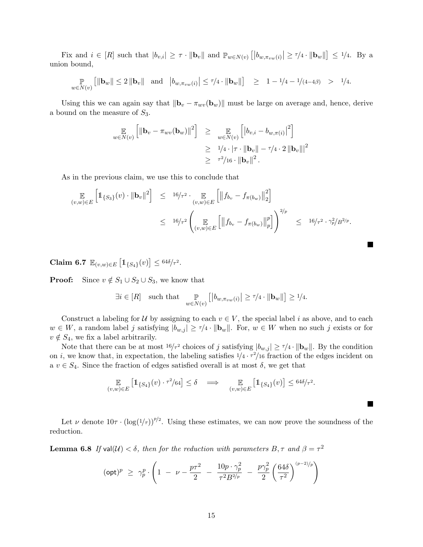Fix and  $i \in [R]$  such that  $|b_{v,i}| \geq \tau \cdot ||\mathbf{b}_v||$  and  $\mathbb{P}_{w \in N(v)} [|b_{w,\pi_{vw}(i)}| \geq \tau/4 \cdot ||\mathbf{b}_w||] \leq \frac{1}{4}$ . By a union bound,

$$
\mathop{\mathbb{P}}_{w \in N(v)} \left[ \|\mathbf{b}_{w}\| \leq 2 \|\mathbf{b}_{v}\| \quad \text{and} \quad \left|b_{w,\pi_{vw}(i)}\right| \leq \tau/4 \cdot \|\mathbf{b}_{w}\| \right] \quad \geq \quad 1 - 1/4 - 1/(4 - 4\beta) \quad > \quad 1/4.
$$

Using this we can again say that  $\|\mathbf{b}_v - \pi_{wv}(\mathbf{b}_w)\|$  must be large on average and, hence, derive a bound on the measure of  $S_3$ .

$$
\mathbb{E}_{w \in N(v)} \left[ \|\mathbf{b}_{v} - \pi_{wv}(\mathbf{b}_{w})\|^{2} \right] \geq \mathbb{E}_{w \in N(v)} \left[ |b_{v,i} - b_{w,\pi(i)}|^{2} \right] \geq 1/4 \cdot |\tau| \cdot \|\mathbf{b}_{v}\| - \tau/4 \cdot 2 \|\mathbf{b}_{v}\|^{2} \geq \tau^{2}/16 \cdot \|\mathbf{b}_{v}\|^{2}.
$$

As in the previous claim, we use this to conclude that

$$
\mathbb{E}_{(v,w)\in E} \left[ \mathbb{1}_{\{S_3\}}(v) \cdot ||\mathbf{b}_v||^2 \right] \leq 16/\tau^2 \cdot \mathbb{E}_{(v,w)\in E} \left[ \left\| f_{b_v} - f_{\pi(b_w)} \right\|_2^2 \right]
$$
  

$$
\leq 16/\tau^2 \left( \mathbb{E}_{(v,w)\in E} \left[ \left\| f_{b_v} - f_{\pi(b_w)} \right\|_p^p \right] \right)^{2/p} \leq 16/\tau^2 \cdot \gamma_p^2 / B^{2/p}.
$$

 $\mathcal{L}$ 

**In the Sea** 

<span id="page-15-0"></span>Claim 6.7  $\mathbb{E}_{(v,w)\in E} [\mathbb{1}_{\{S_4\}}(v)] \leq 64\delta/ \tau^2$ .

**Proof:** Since  $v \notin S_1 \cup S_2 \cup S_3$ , we know that

$$
\exists i \in [R] \quad \text{such that} \quad \mathop{\mathbb{P}}_{w \in N(v)} \left[ \left| b_{w, \pi_{vw}(i)} \right| \ge \tau/4 \cdot \|\mathbf{b}_w\| \right] \ge \frac{1}{4}.
$$

Construct a labeling for U by assigning to each  $v \in V$ , the special label i as above, and to each  $w \in W$ , a random label j satisfying  $|b_{w,j}| \geq \tau/4 \cdot ||\mathbf{b}_w||$ . For,  $w \in W$  when no such j exists or for  $v \notin S_4$ , we fix a label arbitrarily.

Note that there can be at most  $16/\tau^2$  choices of j satisfying  $|b_{w,j}| \ge \tau/4 \cdot ||\mathbf{b}_w||$ . By the condition on i, we know that, in expectation, the labeling satisfies  $1/4 \cdot \tau^2/16$  fraction of the edges incident on a  $v \in S_4$ . Since the fraction of edges satisfied overall is at most  $\delta$ , we get that

$$
\mathop{\mathbb{E}}_{(v,w)\in E} \left[ \mathbb{1}_{\{S_4\}}(v) \cdot \tau^2/64 \right] \le \delta \quad \Longrightarrow \quad \mathop{\mathbb{E}}_{(v,w)\in E} \left[ \mathbb{1}_{\{S_4\}}(v) \right] \le \frac{64\delta}{\tau^2}.
$$

Let  $\nu$  denote  $10\tau \cdot (\log(1/\tau))^{p/2}$ . Using these estimates, we can now prove the soundness of the reduction.

<span id="page-15-1"></span>**Lemma 6.8** If val $(U) < \delta$ , then for the reduction with parameters  $B, \tau$  and  $\beta = \tau^2$ 

$$
(\mathsf{opt})^p \geq \gamma_p^p \cdot \left(1 \ - \ \nu - \frac{p\tau^2}{2} \ - \ \frac{10p \cdot \gamma_p^2}{\tau^2 B^{2/p}} \ - \ \frac{p\gamma_p^2}{2} \left(\frac{64\delta}{\tau^2}\right)^{(p-2)/p}\right)
$$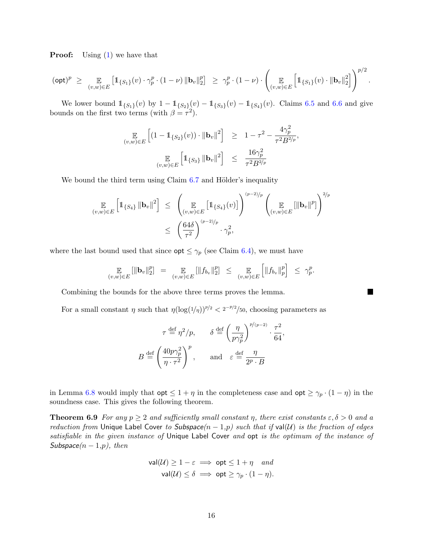**Proof:** Using  $(1)$  we have that

$$
({\rm opt})^p \ \geq \ \ \underset{(v,w) \in E}{\mathbb{E}} \left[ \mathbb{1}_{\{S_1\}}(v) \cdot \gamma_p^p \cdot (1-\nu) \, \|{\bf b}_v\|_2^p \right] \ \geq \ \gamma_p^p \cdot (1-\nu) \cdot \left( \underset{(v,w) \in E}{\mathbb{E}} \left[ \mathbb{1}_{\{S_1\}}(v) \cdot \|{\bf b}_v\|_2^2 \right] \right)^{p/2}.
$$

We lower bound  $1\!\!1_{\{S_1\}}(v)$  by  $1-1\!\!1_{\{S_2\}}(v)-1\!\!1_{\{S_3\}}(v)-1\!\!1_{\{S_4\}}(v)$ . Claims [6.5](#page-14-0) and [6.6](#page-14-1) and give bounds on the first two terms (with  $\beta = \tau^2$ ).

$$
\mathop{\mathbb{E}}_{(v,w)\in E} \left[ (1 - \mathbb{1}_{\{S_2\}}(v)) \cdot \|\mathbf{b}_v\|^2 \right] \geq 1 - \tau^2 - \frac{4\gamma_p^2}{\tau^2 B^{2/p}},
$$
  

$$
\mathop{\mathbb{E}}_{(v,w)\in E} \left[ \mathbb{1}_{\{S_3\}} \|\mathbf{b}_v\|^2 \right] \leq \frac{16\gamma_p^2}{\tau^2 B^{2/p}}
$$

We bound the third term using Claim  $6.7$  and Hölder's inequality

$$
\mathop{\mathbb{E}}_{(v,w)\in E} \left[\mathbb{1}_{\{S_4\}} \|\mathbf{b}_v\|^2\right] \leq \left(\mathop{\mathbb{E}}_{(v,w)\in E} \left[\mathbb{1}_{\{S_4\}}(v)\right]\right)^{(p-2)/p} \left(\mathop{\mathbb{E}}_{(v,w)\in E} \left[\|\mathbf{b}_v\|^p\right]\right)^{2/p}
$$

$$
\leq \left(\frac{64\delta}{\tau^2}\right)^{(p-2)/p} \cdot \gamma_p^2,
$$

where the last bound used that since  $\mathsf{opt} \leq \gamma_p$  (see Claim [6.4\)](#page-13-0), we must have

$$
\mathop{\mathbb{E}}_{(v,w)\in E}[\|\mathbf{b}_v\|_2^p] = \mathop{\mathbb{E}}_{(v,w)\in E}[\|f_{b_v}\|_2^p] \leq \mathop{\mathbb{E}}_{(v,w)\in E}[\|f_{b_v}\|_p^p] \leq \gamma_p^p.
$$

П

Combining the bounds for the above three terms proves the lemma.

For a small constant  $\eta$  such that  $\eta(\log(1/\eta))^{p/2} < 2^{-p/2}/50$ , choosing parameters as

$$
\tau \stackrel{\text{def}}{=} \eta^2/p, \qquad \delta \stackrel{\text{def}}{=} \left(\frac{\eta}{p\gamma_p^2}\right)^{p/(p-2)} \cdot \frac{\tau^2}{64},
$$
  

$$
B \stackrel{\text{def}}{=} \left(\frac{40p\gamma_p^2}{\eta \cdot \tau^2}\right)^p, \qquad \text{and} \quad \varepsilon \stackrel{\text{def}}{=} \frac{\eta}{2^p \cdot B}
$$

in Lemma [6.8](#page-15-1) would imply that  $\mathsf{opt} \leq 1 + \eta$  in the completeness case and  $\mathsf{opt} \geq \gamma_p \cdot (1 - \eta)$  in the soundness case. This gives the following theorem.

**Theorem 6.9** For any  $p \ge 2$  and sufficiently small constant  $\eta$ , there exist constants  $\varepsilon, \delta > 0$  and a reduction from Unique Label Cover to Subspace( $n-1,p$ ) such that if val( $U$ ) is the fraction of edges satisfiable in the given instance of Unique Label Cover and opt is the optimum of the instance of Subspace $(n-1,p)$ , then

$$
\mathsf{val}(\mathcal{U}) \ge 1 - \varepsilon \implies \mathsf{opt} \le 1 + \eta \quad \text{and}
$$
\n
$$
\mathsf{val}(\mathcal{U}) \le \delta \implies \mathsf{opt} \ge \gamma_p \cdot (1 - \eta).
$$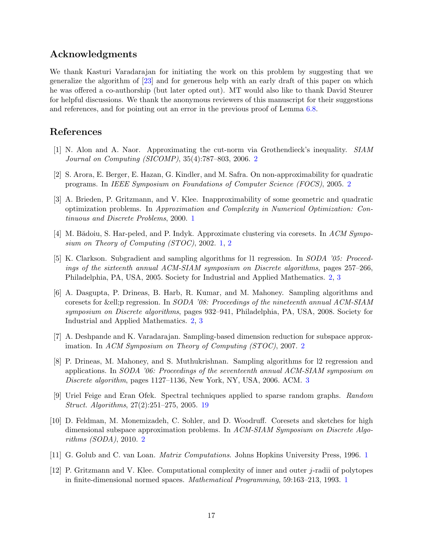## <span id="page-17-11"></span>Acknowledgments

We thank Kasturi Varadarajan for initiating the work on this problem by suggesting that we generalize the algorithm of [\[23\]](#page-18-0) and for generous help with an early draft of this paper on which he was offered a co-authorship (but later opted out). MT would also like to thank David Steurer for helpful discussions. We thank the anonymous reviewers of this manuscript for their suggestions and references, and for pointing out an error in the previous proof of Lemma [6.8.](#page-15-1)

## References

- <span id="page-17-9"></span>[1] N. Alon and A. Naor. Approximating the cut-norm via Grothendieck's inequality. SIAM Journal on Computing (SICOMP), 35(4):787–803, 2006. [2](#page-2-0)
- <span id="page-17-8"></span>[2] S. Arora, E. Berger, E. Hazan, G. Kindler, and M. Safra. On non-approximability for quadratic programs. In IEEE Symposium on Foundations of Computer Science (FOCS), 2005. [2](#page-2-0)
- <span id="page-17-3"></span>[3] A. Brieden, P. Gritzmann, and V. Klee. Inapproximability of some geometric and quadratic optimization problems. In Approximation and Complexity in Numerical Optimization: Continuous and Discrete Problems, 2000. [1](#page-0-0)
- <span id="page-17-2"></span>[4] M. Bădoiu, S. Har-peled, and P. Indyk. Approximate clustering via coresets. In ACM Symposium on Theory of Computing (STOC), 2002. [1,](#page-0-0) [2](#page-2-0)
- <span id="page-17-6"></span>[5] K. Clarkson. Subgradient and sampling algorithms for l1 regression. In SODA '05: Proceedings of the sixteenth annual ACM-SIAM symposium on Discrete algorithms, pages 257–266, Philadelphia, PA, USA, 2005. Society for Industrial and Applied Mathematics. [2,](#page-2-0) [3](#page-3-0)
- <span id="page-17-7"></span>[6] A. Dasgupta, P. Drineas, B. Harb, R. Kumar, and M. Mahoney. Sampling algorithms and coresets for &ell:p regression. In SODA '08: Proceedings of the nineteenth annual ACM-SIAM symposium on Discrete algorithms, pages 932–941, Philadelphia, PA, USA, 2008. Society for Industrial and Applied Mathematics. [2,](#page-2-0) [3](#page-3-0)
- <span id="page-17-4"></span>[7] A. Deshpande and K. Varadarajan. Sampling-based dimension reduction for subspace approximation. In ACM Symposium on Theory of Computing (STOC), 2007. [2](#page-2-0)
- <span id="page-17-10"></span>[8] P. Drineas, M. Mahoney, and S. Muthukrishnan. Sampling algorithms for l2 regression and applications. In SODA '06: Proceedings of the seventeenth annual ACM-SIAM symposium on Discrete algorithm, pages 1127–1136, New York, NY, USA, 2006. ACM. [3](#page-3-0)
- <span id="page-17-12"></span>[9] Uriel Feige and Eran Ofek. Spectral techniques applied to sparse random graphs. Random Struct. Algorithms, 27(2):251–275, 2005. [19](#page-19-0)
- <span id="page-17-5"></span>[10] D. Feldman, M. Monemizadeh, C. Sohler, and D. Woodruff. Coresets and sketches for high dimensional subspace approximation problems. In ACM-SIAM Symposium on Discrete Algorithms (SODA), 2010. [2](#page-2-0)
- <span id="page-17-0"></span>[11] G. Golub and C. van Loan. Matrix Computations. Johns Hopkins University Press, 1996. [1](#page-0-0)
- <span id="page-17-1"></span>[12] P. Gritzmann and V. Klee. Computational complexity of inner and outer j-radii of polytopes in finite-dimensional normed spaces. Mathematical Programming, 59:163–213, 1993. [1](#page-0-0)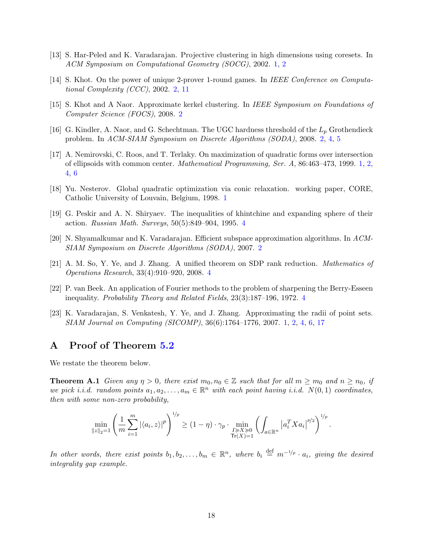- <span id="page-18-1"></span>[13] S. Har-Peled and K. Varadarajan. Projective clustering in high dimensions using coresets. In ACM Symposium on Computational Geometry (SOCG), 2002. [1,](#page-0-0) [2](#page-2-0)
- <span id="page-18-5"></span>[14] S. Khot. On the power of unique 2-prover 1-round games. In IEEE Conference on Computational Complexity (CCC), 2002. [2,](#page-2-0) [11](#page-11-1)
- <span id="page-18-7"></span>[15] S. Khot and A Naor. Approximate kerkel clustering. In IEEE Symposium on Foundations of Computer Science (FOCS), 2008. [2](#page-2-0)
- <span id="page-18-6"></span>[16] G. Kindler, A. Naor, and G. Schechtman. The UGC hardness threshold of the  $L_p$  Grothendieck problem. In ACM-SIAM Symposium on Discrete Algorithms (SODA), 2008. [2,](#page-2-0) [4,](#page-4-2) [5](#page-5-0)
- <span id="page-18-3"></span>[17] A. Nemirovski, C. Roos, and T. Terlaky. On maximization of quadratic forms over intersection of ellipsoids with common center. Mathematical Programming, Ser. A, 86:463–473, 1999. [1,](#page-0-0) [2,](#page-2-0) [4,](#page-4-2) [6](#page-6-3)
- <span id="page-18-2"></span>[18] Yu. Nesterov. Global quadratic optimization via conic relaxation. working paper, CORE, Catholic University of Louvain, Belgium, 1998. [1](#page-0-0)
- <span id="page-18-8"></span>[19] G. Peskir and A. N. Shiryaev. The inequalities of khintchine and expanding sphere of their action. Russian Math. Surveys, 50(5):849–904, 1995. [4](#page-4-2)
- <span id="page-18-4"></span>[20] N. Shyamalkumar and K. Varadarajan. Efficient subspace approximation algorithms. In ACM-SIAM Symposium on Discrete Algorithms (SODA), 2007. [2](#page-2-0)
- <span id="page-18-10"></span>[21] A. M. So, Y. Ye, and J. Zhang. A unified theorem on SDP rank reduction. Mathematics of Operations Research, 33(4):910–920, 2008. [4](#page-4-2)
- <span id="page-18-9"></span>[22] P. van Beek. An application of Fourier methods to the problem of sharpening the Berry-Esseen inequality. Probability Theory and Related Fields, 23(3):187–196, 1972. [4](#page-4-2)
- <span id="page-18-0"></span>[23] K. Varadarajan, S. Venkatesh, Y. Ye, and J. Zhang. Approximating the radii of point sets. SIAM Journal on Computing (SICOMP), 36(6):1764–1776, 2007. [1,](#page-0-0) [2,](#page-2-0) [4,](#page-4-2) [6,](#page-6-3) [17](#page-17-11)

## A Proof of Theorem [5.2](#page-10-0)

We restate the theorem below.

**Theorem A.1** Given any  $\eta > 0$ , there exist  $m_0, n_0 \in \mathbb{Z}$  such that for all  $m \geq m_0$  and  $n \geq n_0$ , if we pick i.i.d. random points  $a_1, a_2, \ldots, a_m \in \mathbb{R}^n$  with each point having i.i.d.  $N(0, 1)$  coordinates, then with some non-zero probability,

$$
\min_{\|z\|_2=1} \left(\frac{1}{m}\sum_{i=1}^m |\langle a_i, z\rangle|^p\right)^{1/p} \ge (1-\eta) \cdot \gamma_p \cdot \min_{\substack{I \succcurlyeq X \succcurlyeq 0 \\ \text{Tr}(X)=1}} \left(\int_{a \in \mathbb{R}^n} \left|a_i^T X a_i\right|^{p/2}\right)^{1/p}.
$$

In other words, there exist points  $b_1, b_2, \ldots, b_m \in \mathbb{R}^n$ , where  $b_i \stackrel{\text{def}}{=} m^{-1/p} \cdot a_i$ , giving the desired integrality gap example.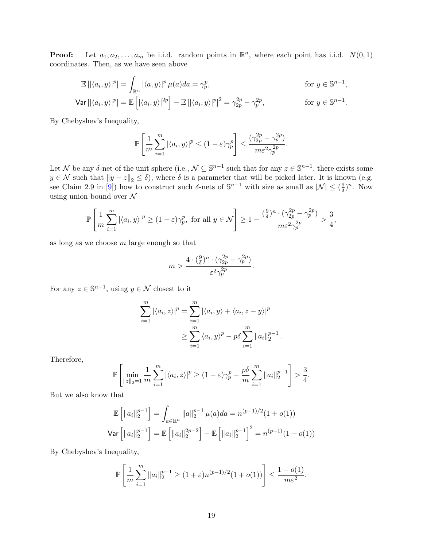<span id="page-19-0"></span>**Proof:** Let  $a_1, a_2, \ldots, a_m$  be i.i.d. random points in  $\mathbb{R}^n$ , where each point has i.i.d.  $N(0, 1)$ coordinates. Then, as we have seen above

$$
\mathbb{E}\left[\left|\langle a_i, y \rangle\right|^p\right] = \int_{\mathbb{R}^n} \left|\langle a, y \rangle\right|^p \mu(a) da = \gamma_p^p, \qquad \text{for } y \in \mathbb{S}^{n-1},
$$
  

$$
\text{Var}\left[\left|\langle a_i, y \rangle\right|^p\right] = \mathbb{E}\left[\left|\langle a_i, y \rangle\right|^{2p}\right] - \mathbb{E}\left[\left|\langle a_i, y \rangle\right|^p\right]^2 = \gamma_{2p}^{2p} - \gamma_p^{2p}, \qquad \text{for } y \in \mathbb{S}^{n-1}.
$$

By Chebyshev's Inequality,

$$
\mathbb{P}\left[\frac{1}{m}\sum_{i=1}^m |\langle a_i, y \rangle|^p \le (1-\varepsilon)\gamma_p^p\right] \le \frac{(\gamma_{2p}^{2p} - \gamma_p^{2p})}{m\varepsilon^2\gamma_p^{2p}}.
$$

Let N be any  $\delta$ -net of the unit sphere (i.e.,  $\mathcal{N} \subseteq \mathbb{S}^{n-1}$  such that for any  $z \in \mathbb{S}^{n-1}$ , there exists some  $y \in \mathcal{N}$  such that  $||y - z||_2 \le \delta$ , where  $\delta$  is a parameter that will be picked later. It is known (e.g. see Claim 2.9 in [\[9\]](#page-17-12)) how to construct such  $\delta$ -nets of  $\mathbb{S}^{n-1}$  with size as small as  $|\mathcal{N}| \leq (\frac{9}{\delta})$  $\frac{9}{\delta})^n$ . Now using union bound over  $\mathcal N$ 

$$
\mathbb{P}\left[\frac{1}{m}\sum_{i=1}^{m}|\langle a_i,y\rangle|^p\geq(1-\varepsilon)\gamma_p^p,\text{ for all }y\in\mathcal{N}\right]\geq1-\frac{(\frac{9}{\delta})^n\cdot(\gamma_{2p}^{2p}-\gamma_p^{2p})}{m\varepsilon^2\gamma_p^{2p}}>\frac{3}{4},
$$

as long as we choose  $m$  large enough so that

$$
m > \frac{4 \cdot (\frac{9}{\delta})^n \cdot (\gamma_{2p}^{2p} - \gamma_{p}^{2p})}{\varepsilon^2 \gamma_{p}^{2p}}.
$$

For any  $z \in \mathbb{S}^{n-1}$ , using  $y \in \mathcal{N}$  closest to it

$$
\sum_{i=1}^{m} |\langle a_i, z \rangle|^p = \sum_{i=1}^{m} |\langle a_i, y \rangle + \langle a_i, z - y \rangle|^p
$$

$$
\geq \sum_{i=1}^{m} \langle a_i, y \rangle^p - p \delta \sum_{i=1}^{m} ||a_i||_2^{p-1}
$$

.

Therefore,

$$
\mathbb{P}\left[\min_{\|z\|_2=1} \frac{1}{m} \sum_{i=1}^m |\langle a_i, z \rangle|^p \ge (1-\varepsilon)\gamma_p^p - \frac{p\delta}{m} \sum_{i=1}^m \|a_i\|_2^{p-1}\right] > \frac{3}{4}.
$$

But we also know that

$$
\mathbb{E}\left[\|a_i\|_2^{p-1}\right] = \int_{a \in \mathbb{R}^n} \|a\|_2^{p-1} \mu(a)da = n^{(p-1)/2}(1+o(1))
$$
  
Var  $\left[\|a_i\|_2^{p-1}\right] = \mathbb{E}\left[\|a_i\|_2^{2p-2}\right] - \mathbb{E}\left[\|a_i\|_2^{p-1}\right]^2 = n^{(p-1)}(1+o(1))$ 

By Chebyshev's Inequality,

$$
\mathbb{P}\left[\frac{1}{m}\sum_{i=1}^{m}||a_i||_2^{p-1} \ge (1+\varepsilon)n^{(p-1)/2}(1+o(1))\right] \le \frac{1+o(1)}{m\varepsilon^2}.
$$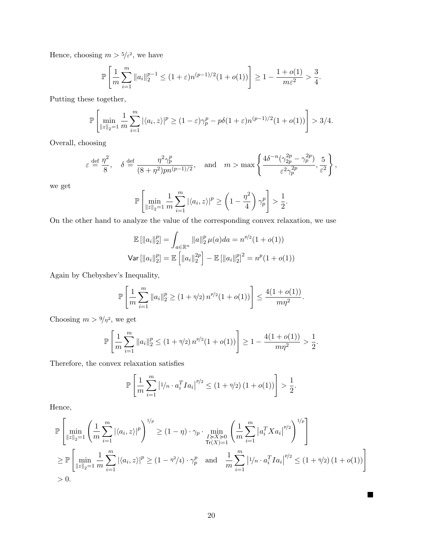Hence, choosing  $m > 5/\epsilon^2$ , we have

$$
\mathbb{P}\left[\frac{1}{m}\sum_{i=1}^{m} \|a_i\|_2^{p-1} \le (1+\varepsilon)n^{(p-1)/2}(1+o(1))\right] \ge 1 - \frac{1+o(1)}{m\varepsilon^2} > \frac{3}{4}.
$$

Putting these together,

$$
\mathbb{P}\left[\min_{\|z\|_2=1} \frac{1}{m} \sum_{i=1}^m |\langle a_i, z \rangle|^p \ge (1-\varepsilon)\gamma_p^p - p\delta(1+\varepsilon)n^{(p-1)/2}(1+o(1)) \right] > 3/4.
$$

Overall, choosing

$$
\varepsilon \stackrel{\text{def}}{=} \frac{\eta^2}{8}, \quad \delta \stackrel{\text{def}}{=} \frac{\eta^2 \gamma_p^p}{(8+\eta^2) p n^{(p-1)/2}}, \quad \text{and} \quad m > \max\left\{ \frac{4\delta^{-n} (\gamma_{2p}^{2p} - \gamma_p^{2p})}{\varepsilon^2 \gamma_p^{2p}}, \frac{5}{\varepsilon^2} \right\},
$$

we get

$$
\mathbb{P}\left[\min_{\|z\|_2=1} \frac{1}{m} \sum_{i=1}^m |\langle a_i, z \rangle|^p \ge \left(1 - \frac{\eta^2}{4}\right) \gamma_p^p\right] > \frac{1}{2}.
$$

On the other hand to analyze the value of the corresponding convex relaxation, we use

$$
\mathbb{E}[\|a_i\|_2^p] = \int_{a \in \mathbb{R}^n} \|a\|_2^p \mu(a)da = n^{p/2}(1 + o(1))
$$
  
Var  $[\|a_i\|_2^p] = \mathbb{E}[\|a_i\|_2^{2p}] - \mathbb{E}[\|a_i\|_2^p]^2 = n^p(1 + o(1))$ 

Again by Chebyshev's Inequality,

$$
\mathbb{P}\left[\frac{1}{m}\sum_{i=1}^{m}||a_i||_2^p \ge (1+\eta/2) n^{p/2} (1+o(1))\right] \le \frac{4(1+o(1))}{m\eta^2}.
$$

Choosing  $m > \frac{9}{n^2}$ , we get

$$
\mathbb{P}\left[\frac{1}{m}\sum_{i=1}^{m}||a_i||_2^p \le (1+\eta/2)n^{p/2}(1+o(1))\right] \ge 1-\frac{4(1+o(1))}{m\eta^2} > \frac{1}{2}.
$$

Therefore, the convex relaxation satisfies

$$
\mathbb{P}\left[\frac{1}{m}\sum_{i=1}^{m} \left|1/n \cdot a_i^T I a_i\right|^{p/2} \le (1+\eta/2) (1+o(1))\right] > \frac{1}{2}.
$$

Hence,

$$
\mathbb{P}\left[\min_{\|z\|_2=1} \left(\frac{1}{m} \sum_{i=1}^m |\langle a_i, z \rangle|^p\right)^{1/p} \ge (1-\eta) \cdot \gamma_p \cdot \min_{\substack{I \succcurlyeq X \succcurlyeq 0 \\ \text{Tr}(X)=1}} \left(\frac{1}{m} \sum_{i=1}^m |a_i^T X a_i|^{p/2}\right)^{1/p}\right]
$$
\n
$$
\ge \mathbb{P}\left[\min_{\|z\|_2=1} \frac{1}{m} \sum_{i=1}^m |\langle a_i, z \rangle|^p \ge (1-\eta^2/4) \cdot \gamma_p^p \quad \text{and} \quad \frac{1}{m} \sum_{i=1}^m |1/n \cdot a_i^T I a_i|^{p/2} \le (1+\eta/2) (1+o(1))\right]
$$
\n
$$
> 0.
$$

 $\blacksquare$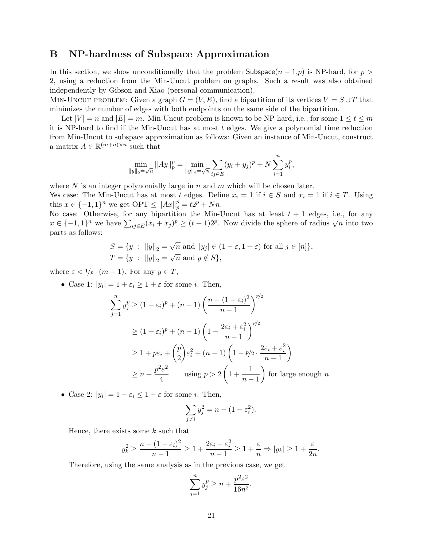## B NP-hardness of Subspace Approximation

In this section, we show unconditionally that the problem Subspace( $n-1$ , p) is NP-hard, for p > 2, using a reduction from the Min-Uncut problem on graphs. Such a result was also obtained independently by Gibson and Xiao (personal communication).

MIN-UNCUT PROBLEM: Given a graph  $G = (V, E)$ , find a bipartition of its vertices  $V = S \cup T$  that minimizes the number of edges with both endpoints on the same side of the bipartition.

Let  $|V| = n$  and  $|E| = m$ . Min-Uncut problem is known to be NP-hard, i.e., for some  $1 \le t \le m$ it is NP-hard to find if the Min-Uncut has at most  $t$  edges. We give a polynomial time reduction from Min-Uncut to subspace approximation as follows: Given an instance of Min-Uncut, construct a matrix  $A \in \mathbb{R}^{(m+n)\times n}$  such that

$$
\min_{\|y\|_2 = \sqrt{n}} \|Ay\|_p^p = \min_{\|y\|_2 = \sqrt{n}} \sum_{ij \in E} (y_i + y_j)^p + N \sum_{i=1}^n y_i^p,
$$

where  $N$  is an integer polynomially large in  $n$  and  $m$  which will be chosen later.

Yes case: The Min-Uncut has at most t edges. Define  $x_i = 1$  if  $i \in S$  and  $x_i = 1$  if  $i \in T$ . Using this  $x \in \{-1, 1\}^n$  we get  $\text{OPT} \le ||Ax||_p^p = t2^p + Nn$ .

No case: Otherwise, for any bipartition the Min-Uncut has at least  $t + 1$  edges, i.e., for any we case. Otherwise, for any orpartment the Min-Oncut has at least  $t + 1$  edges, i.e., for any  $x \in \{-1,1\}^n$  we have  $\sum_{ij \in E} (x_i + x_j)^p \ge (t+1)2^p$ . Now divide the sphere of radius  $\sqrt{n}$  into two parts as follows:

$$
S = \{ y : ||y||_2 = \sqrt{n} \text{ and } |y_j| \in (1 - \varepsilon, 1 + \varepsilon) \text{ for all } j \in [n] \},
$$
  

$$
T = \{ y : ||y||_2 = \sqrt{n} \text{ and } y \notin S \},
$$

where  $\varepsilon < 1/p \cdot (m+1)$ . For any  $y \in T$ ,

• Case 1:  $|y_i| = 1 + \varepsilon_i \ge 1 + \varepsilon$  for some *i*. Then,

$$
\sum_{j=1}^{n} y_j^p \ge (1 + \varepsilon_i)^p + (n - 1) \left( \frac{n - (1 + \varepsilon_i)^2}{n - 1} \right)^{p/2}
$$
  
\n
$$
\ge (1 + \varepsilon_i)^p + (n - 1) \left( 1 - \frac{2\varepsilon_i + \varepsilon_i^2}{n - 1} \right)^{p/2}
$$
  
\n
$$
\ge 1 + p\varepsilon_i + {p \choose 2} \varepsilon_i^2 + (n - 1) \left( 1 - p/2 \cdot \frac{2\varepsilon_i + \varepsilon_i^2}{n - 1} \right)
$$
  
\n
$$
\ge n + \frac{p^2 \varepsilon^2}{4} \qquad \text{using } p > 2 \left( 1 + \frac{1}{n - 1} \right) \text{ for large enough } n.
$$

• Case 2:  $|y_i| = 1 - \varepsilon_i \leq 1 - \varepsilon$  for some *i*. Then,

$$
\sum_{j \neq i} y_j^2 = n - (1 - \varepsilon_i^2).
$$

Hence, there exists some  $k$  such that

$$
y_k^2 \ge \frac{n - (1 - \varepsilon_i)^2}{n - 1} \ge 1 + \frac{2\varepsilon_i - \varepsilon_i^2}{n - 1} \ge 1 + \frac{\varepsilon}{n} \Rightarrow |y_k| \ge 1 + \frac{\varepsilon}{2n}.
$$

Therefore, using the same analysis as in the previous case, we get

$$
\sum_{j=1}^{n} y_j^p \ge n + \frac{p^2 \varepsilon^2}{16n^2}.
$$